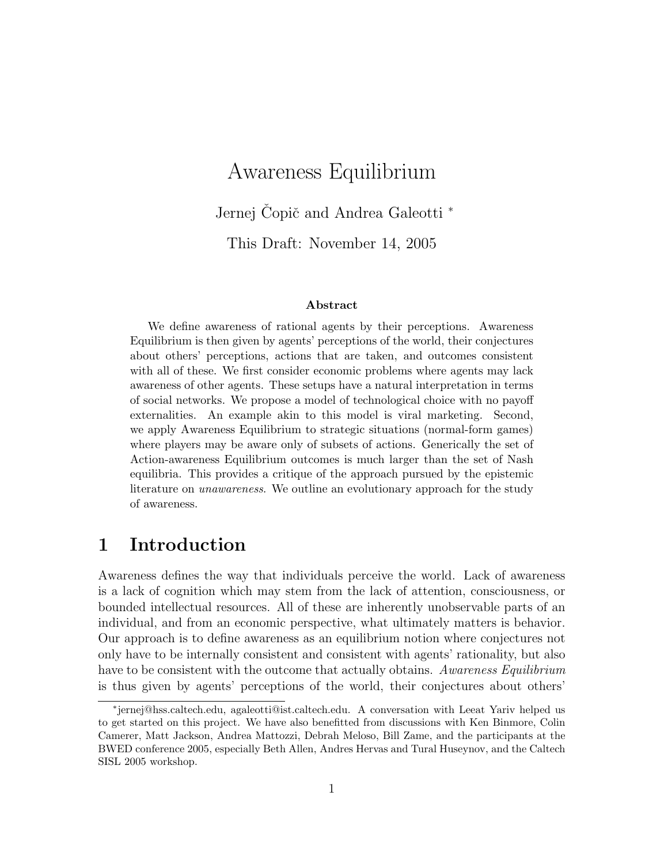# Awareness Equilibrium

Jernej Čopič and Andrea Galeotti <sup>\*</sup>

This Draft: November 14, 2005

#### Abstract

We define awareness of rational agents by their perceptions. Awareness Equilibrium is then given by agents' perceptions of the world, their conjectures about others' perceptions, actions that are taken, and outcomes consistent with all of these. We first consider economic problems where agents may lack awareness of other agents. These setups have a natural interpretation in terms of social networks. We propose a model of technological choice with no payoff externalities. An example akin to this model is viral marketing. Second, we apply Awareness Equilibrium to strategic situations (normal-form games) where players may be aware only of subsets of actions. Generically the set of Action-awareness Equilibrium outcomes is much larger than the set of Nash equilibria. This provides a critique of the approach pursued by the epistemic literature on *unawareness*. We outline an evolutionary approach for the study of awareness.

## 1 Introduction

Awareness defines the way that individuals perceive the world. Lack of awareness is a lack of cognition which may stem from the lack of attention, consciousness, or bounded intellectual resources. All of these are inherently unobservable parts of an individual, and from an economic perspective, what ultimately matters is behavior. Our approach is to define awareness as an equilibrium notion where conjectures not only have to be internally consistent and consistent with agents' rationality, but also have to be consistent with the outcome that actually obtains. Awareness Equilibrium is thus given by agents' perceptions of the world, their conjectures about others'

<sup>∗</sup> jernej@hss.caltech.edu, agaleotti@ist.caltech.edu. A conversation with Leeat Yariv helped us to get started on this project. We have also benefitted from discussions with Ken Binmore, Colin Camerer, Matt Jackson, Andrea Mattozzi, Debrah Meloso, Bill Zame, and the participants at the BWED conference 2005, especially Beth Allen, Andres Hervas and Tural Huseynov, and the Caltech SISL 2005 workshop.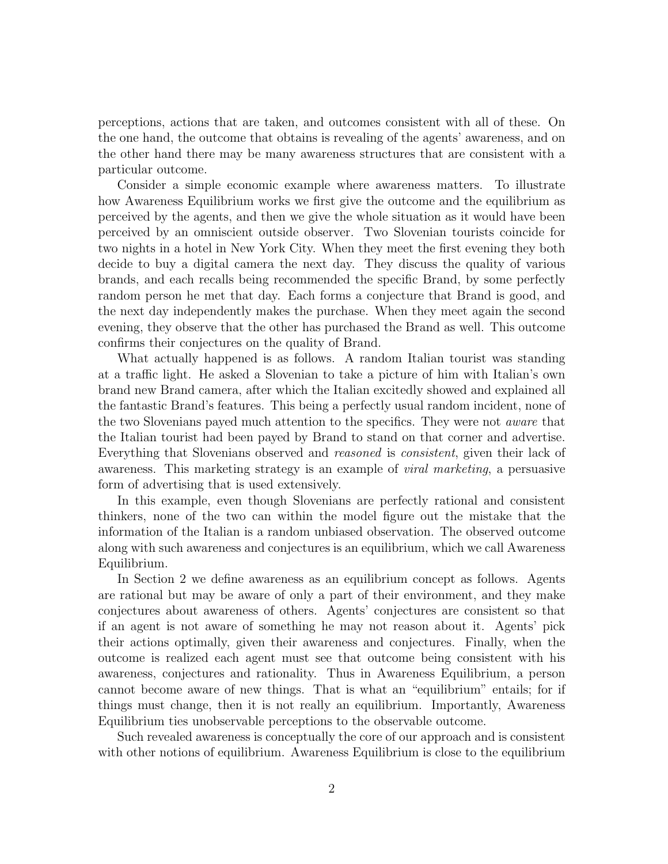perceptions, actions that are taken, and outcomes consistent with all of these. On the one hand, the outcome that obtains is revealing of the agents' awareness, and on the other hand there may be many awareness structures that are consistent with a particular outcome.

Consider a simple economic example where awareness matters. To illustrate how Awareness Equilibrium works we first give the outcome and the equilibrium as perceived by the agents, and then we give the whole situation as it would have been perceived by an omniscient outside observer. Two Slovenian tourists coincide for two nights in a hotel in New York City. When they meet the first evening they both decide to buy a digital camera the next day. They discuss the quality of various brands, and each recalls being recommended the specific Brand, by some perfectly random person he met that day. Each forms a conjecture that Brand is good, and the next day independently makes the purchase. When they meet again the second evening, they observe that the other has purchased the Brand as well. This outcome confirms their conjectures on the quality of Brand.

What actually happened is as follows. A random Italian tourist was standing at a traffic light. He asked a Slovenian to take a picture of him with Italian's own brand new Brand camera, after which the Italian excitedly showed and explained all the fantastic Brand's features. This being a perfectly usual random incident, none of the two Slovenians payed much attention to the specifics. They were not aware that the Italian tourist had been payed by Brand to stand on that corner and advertise. Everything that Slovenians observed and reasoned is consistent, given their lack of awareness. This marketing strategy is an example of viral marketing, a persuasive form of advertising that is used extensively.

In this example, even though Slovenians are perfectly rational and consistent thinkers, none of the two can within the model figure out the mistake that the information of the Italian is a random unbiased observation. The observed outcome along with such awareness and conjectures is an equilibrium, which we call Awareness Equilibrium.

In Section 2 we define awareness as an equilibrium concept as follows. Agents are rational but may be aware of only a part of their environment, and they make conjectures about awareness of others. Agents' conjectures are consistent so that if an agent is not aware of something he may not reason about it. Agents' pick their actions optimally, given their awareness and conjectures. Finally, when the outcome is realized each agent must see that outcome being consistent with his awareness, conjectures and rationality. Thus in Awareness Equilibrium, a person cannot become aware of new things. That is what an "equilibrium" entails; for if things must change, then it is not really an equilibrium. Importantly, Awareness Equilibrium ties unobservable perceptions to the observable outcome.

Such revealed awareness is conceptually the core of our approach and is consistent with other notions of equilibrium. Awareness Equilibrium is close to the equilibrium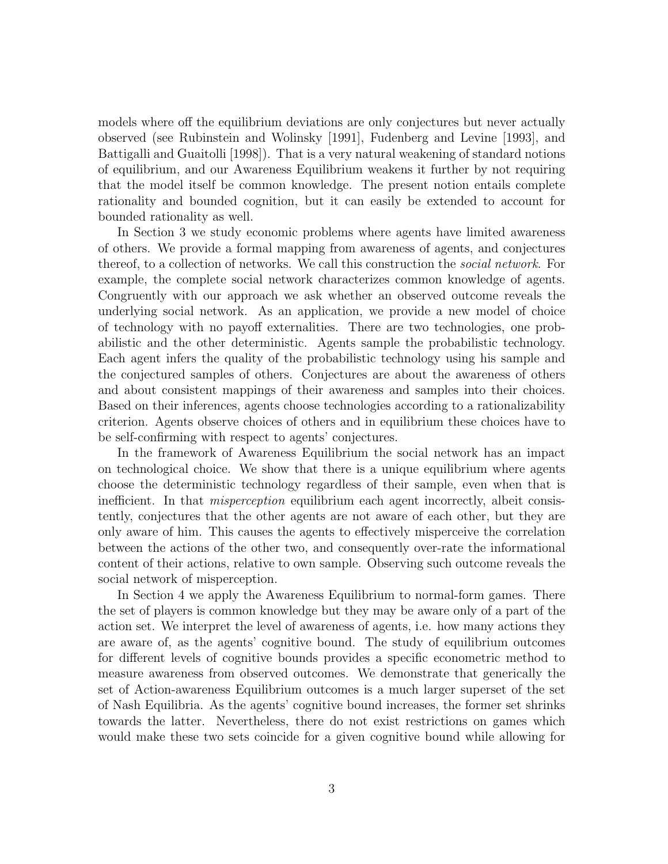models where off the equilibrium deviations are only conjectures but never actually observed (see Rubinstein and Wolinsky [1991], Fudenberg and Levine [1993], and Battigalli and Guaitolli [1998]). That is a very natural weakening of standard notions of equilibrium, and our Awareness Equilibrium weakens it further by not requiring that the model itself be common knowledge. The present notion entails complete rationality and bounded cognition, but it can easily be extended to account for bounded rationality as well.

In Section 3 we study economic problems where agents have limited awareness of others. We provide a formal mapping from awareness of agents, and conjectures thereof, to a collection of networks. We call this construction the *social network*. For example, the complete social network characterizes common knowledge of agents. Congruently with our approach we ask whether an observed outcome reveals the underlying social network. As an application, we provide a new model of choice of technology with no payoff externalities. There are two technologies, one probabilistic and the other deterministic. Agents sample the probabilistic technology. Each agent infers the quality of the probabilistic technology using his sample and the conjectured samples of others. Conjectures are about the awareness of others and about consistent mappings of their awareness and samples into their choices. Based on their inferences, agents choose technologies according to a rationalizability criterion. Agents observe choices of others and in equilibrium these choices have to be self-confirming with respect to agents' conjectures.

In the framework of Awareness Equilibrium the social network has an impact on technological choice. We show that there is a unique equilibrium where agents choose the deterministic technology regardless of their sample, even when that is inefficient. In that *misperception* equilibrium each agent incorrectly, albeit consistently, conjectures that the other agents are not aware of each other, but they are only aware of him. This causes the agents to effectively misperceive the correlation between the actions of the other two, and consequently over-rate the informational content of their actions, relative to own sample. Observing such outcome reveals the social network of misperception.

In Section 4 we apply the Awareness Equilibrium to normal-form games. There the set of players is common knowledge but they may be aware only of a part of the action set. We interpret the level of awareness of agents, i.e. how many actions they are aware of, as the agents' cognitive bound. The study of equilibrium outcomes for different levels of cognitive bounds provides a specific econometric method to measure awareness from observed outcomes. We demonstrate that generically the set of Action-awareness Equilibrium outcomes is a much larger superset of the set of Nash Equilibria. As the agents' cognitive bound increases, the former set shrinks towards the latter. Nevertheless, there do not exist restrictions on games which would make these two sets coincide for a given cognitive bound while allowing for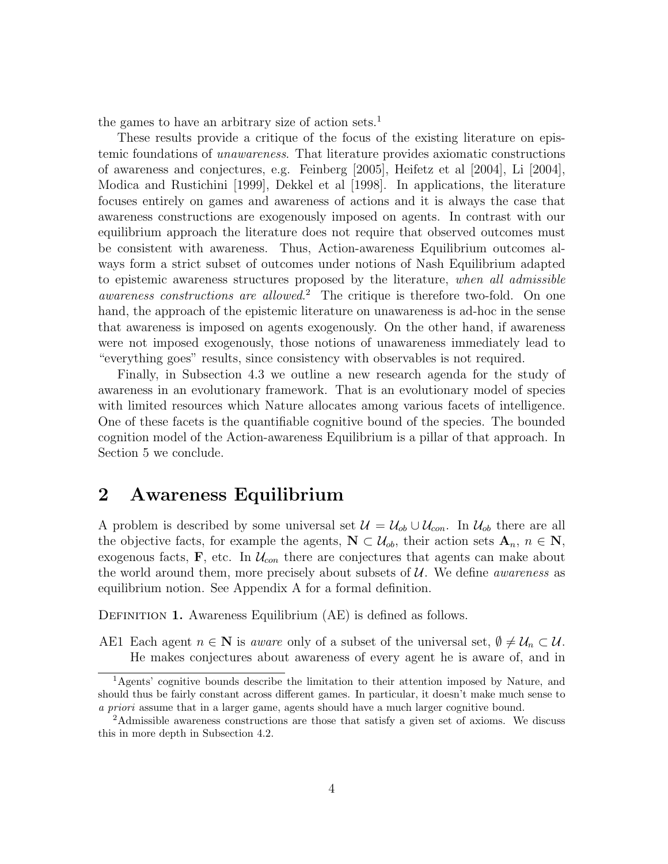the games to have an arbitrary size of action sets.<sup>1</sup>

These results provide a critique of the focus of the existing literature on epistemic foundations of unawareness. That literature provides axiomatic constructions of awareness and conjectures, e.g. Feinberg [2005], Heifetz et al [2004], Li [2004], Modica and Rustichini [1999], Dekkel et al [1998]. In applications, the literature focuses entirely on games and awareness of actions and it is always the case that awareness constructions are exogenously imposed on agents. In contrast with our equilibrium approach the literature does not require that observed outcomes must be consistent with awareness. Thus, Action-awareness Equilibrium outcomes always form a strict subset of outcomes under notions of Nash Equilibrium adapted to epistemic awareness structures proposed by the literature, when all admissible awareness constructions are allowed. <sup>2</sup> The critique is therefore two-fold. On one hand, the approach of the epistemic literature on unawareness is ad-hoc in the sense that awareness is imposed on agents exogenously. On the other hand, if awareness were not imposed exogenously, those notions of unawareness immediately lead to "everything goes" results, since consistency with observables is not required.

Finally, in Subsection 4.3 we outline a new research agenda for the study of awareness in an evolutionary framework. That is an evolutionary model of species with limited resources which Nature allocates among various facets of intelligence. One of these facets is the quantifiable cognitive bound of the species. The bounded cognition model of the Action-awareness Equilibrium is a pillar of that approach. In Section 5 we conclude.

### 2 Awareness Equilibrium

A problem is described by some universal set  $\mathcal{U} = \mathcal{U}_{ob} \cup \mathcal{U}_{con}$ . In  $\mathcal{U}_{ob}$  there are all the objective facts, for example the agents,  $N \subset \mathcal{U}_{ob}$ , their action sets  $A_n$ ,  $n \in N$ , exogenous facts,  $\mathbf{F}$ , etc. In  $\mathcal{U}_{con}$  there are conjectures that agents can make about the world around them, more precisely about subsets of  $\mathcal{U}$ . We define *awareness* as equilibrium notion. See Appendix A for a formal definition.

DEFINITION 1. Awareness Equilibrium (AE) is defined as follows.

AE1 Each agent  $n \in \mathbb{N}$  is *aware* only of a subset of the universal set,  $\emptyset \neq \mathcal{U}_n \subset \mathcal{U}$ . He makes conjectures about awareness of every agent he is aware of, and in

<sup>1</sup>Agents' cognitive bounds describe the limitation to their attention imposed by Nature, and should thus be fairly constant across different games. In particular, it doesn't make much sense to a priori assume that in a larger game, agents should have a much larger cognitive bound.

<sup>2</sup>Admissible awareness constructions are those that satisfy a given set of axioms. We discuss this in more depth in Subsection 4.2.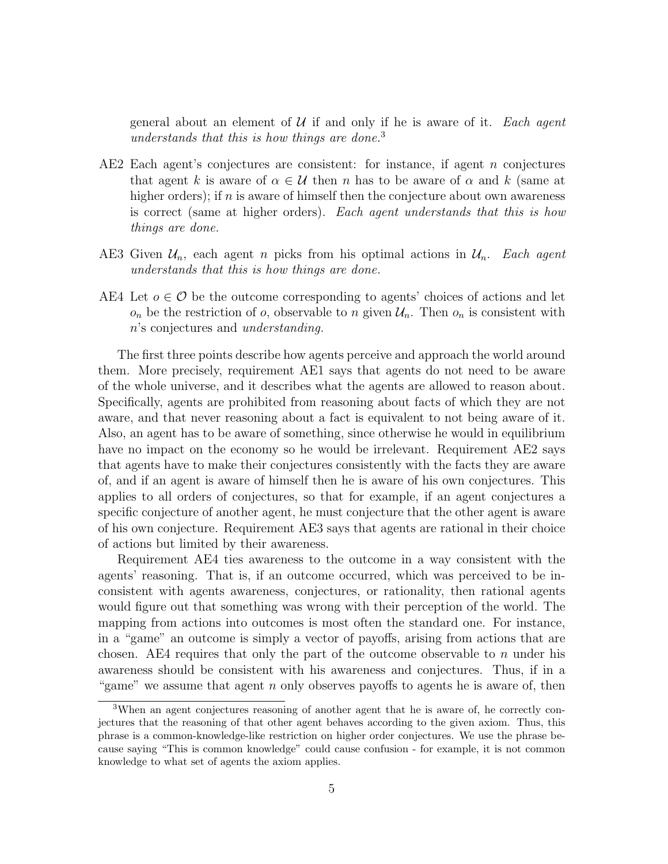general about an element of  $U$  if and only if he is aware of it. Each agent understands that this is how things are done.<sup>3</sup>

- AE2 Each agent's conjectures are consistent: for instance, if agent n conjectures that agent k is aware of  $\alpha \in \mathcal{U}$  then n has to be aware of  $\alpha$  and k (same at higher orders); if  $n$  is aware of himself then the conjecture about own awareness is correct (same at higher orders). Each agent understands that this is how things are done.
- AE3 Given  $\mathcal{U}_n$ , each agent n picks from his optimal actions in  $\mathcal{U}_n$ . Each agent understands that this is how things are done.
- AE4 Let  $o \in \mathcal{O}$  be the outcome corresponding to agents' choices of actions and let  $o_n$  be the restriction of o, observable to n given  $\mathcal{U}_n$ . Then  $o_n$  is consistent with n's conjectures and understanding.

The first three points describe how agents perceive and approach the world around them. More precisely, requirement AE1 says that agents do not need to be aware of the whole universe, and it describes what the agents are allowed to reason about. Specifically, agents are prohibited from reasoning about facts of which they are not aware, and that never reasoning about a fact is equivalent to not being aware of it. Also, an agent has to be aware of something, since otherwise he would in equilibrium have no impact on the economy so he would be irrelevant. Requirement AE2 says that agents have to make their conjectures consistently with the facts they are aware of, and if an agent is aware of himself then he is aware of his own conjectures. This applies to all orders of conjectures, so that for example, if an agent conjectures a specific conjecture of another agent, he must conjecture that the other agent is aware of his own conjecture. Requirement AE3 says that agents are rational in their choice of actions but limited by their awareness.

Requirement AE4 ties awareness to the outcome in a way consistent with the agents' reasoning. That is, if an outcome occurred, which was perceived to be inconsistent with agents awareness, conjectures, or rationality, then rational agents would figure out that something was wrong with their perception of the world. The mapping from actions into outcomes is most often the standard one. For instance, in a "game" an outcome is simply a vector of payoffs, arising from actions that are chosen. AE4 requires that only the part of the outcome observable to n under his awareness should be consistent with his awareness and conjectures. Thus, if in a "game" we assume that agent  $n$  only observes payoffs to agents he is aware of, then

<sup>3</sup>When an agent conjectures reasoning of another agent that he is aware of, he correctly conjectures that the reasoning of that other agent behaves according to the given axiom. Thus, this phrase is a common-knowledge-like restriction on higher order conjectures. We use the phrase because saying "This is common knowledge" could cause confusion - for example, it is not common knowledge to what set of agents the axiom applies.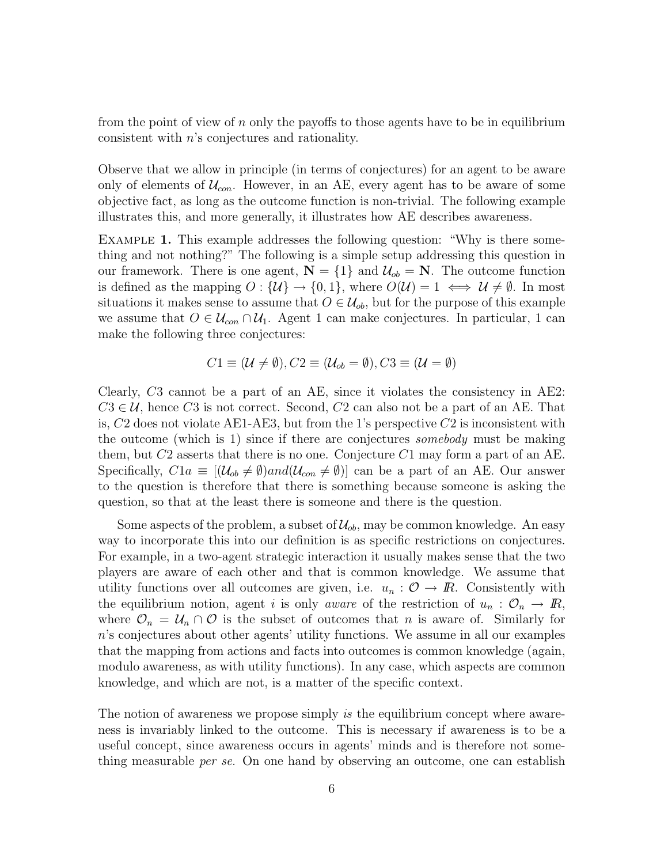from the point of view of n only the payoffs to those agents have to be in equilibrium consistent with n's conjectures and rationality.

Observe that we allow in principle (in terms of conjectures) for an agent to be aware only of elements of  $\mathcal{U}_{con}$ . However, in an AE, every agent has to be aware of some objective fact, as long as the outcome function is non-trivial. The following example illustrates this, and more generally, it illustrates how AE describes awareness.

EXAMPLE 1. This example addresses the following question: "Why is there something and not nothing?" The following is a simple setup addressing this question in our framework. There is one agent,  $N = \{1\}$  and  $\mathcal{U}_{ob} = N$ . The outcome function is defined as the mapping  $O: \{U\} \to \{0,1\}$ , where  $O(U) = 1 \iff U \neq \emptyset$ . In most situations it makes sense to assume that  $O \in \mathcal{U}_{ob}$ , but for the purpose of this example we assume that  $O \in \mathcal{U}_{con} \cap \mathcal{U}_1$ . Agent 1 can make conjectures. In particular, 1 can make the following three conjectures:

$$
C1 \equiv (\mathcal{U} \neq \emptyset), C2 \equiv (\mathcal{U}_{ob} = \emptyset), C3 \equiv (\mathcal{U} = \emptyset)
$$

Clearly, C3 cannot be a part of an AE, since it violates the consistency in AE2:  $C3 \in \mathcal{U}$ , hence C3 is not correct. Second, C2 can also not be a part of an AE. That is,  $C2$  does not violate AE1-AE3, but from the 1's perspective  $C2$  is inconsistent with the outcome (which is 1) since if there are conjectures somebody must be making them, but  $C2$  asserts that there is no one. Conjecture  $C1$  may form a part of an AE. Specifically,  $C1a \equiv [(\mathcal{U}_{ob} \neq \emptyset) and (\mathcal{U}_{con} \neq \emptyset)]$  can be a part of an AE. Our answer to the question is therefore that there is something because someone is asking the question, so that at the least there is someone and there is the question.

Some aspects of the problem, a subset of  $\mathcal{U}_{ob}$ , may be common knowledge. An easy way to incorporate this into our definition is as specific restrictions on conjectures. For example, in a two-agent strategic interaction it usually makes sense that the two players are aware of each other and that is common knowledge. We assume that utility functions over all outcomes are given, i.e.  $u_n$ :  $\mathcal{O} \to \mathbb{R}$ . Consistently with the equilibrium notion, agent i is only aware of the restriction of  $u_n$ :  $\mathcal{O}_n \to \mathbb{R}$ , where  $\mathcal{O}_n = \mathcal{U}_n \cap \mathcal{O}$  is the subset of outcomes that n is aware of. Similarly for n's conjectures about other agents' utility functions. We assume in all our examples that the mapping from actions and facts into outcomes is common knowledge (again, modulo awareness, as with utility functions). In any case, which aspects are common knowledge, and which are not, is a matter of the specific context.

The notion of awareness we propose simply is the equilibrium concept where awareness is invariably linked to the outcome. This is necessary if awareness is to be a useful concept, since awareness occurs in agents' minds and is therefore not something measurable *per se*. On one hand by observing an outcome, one can establish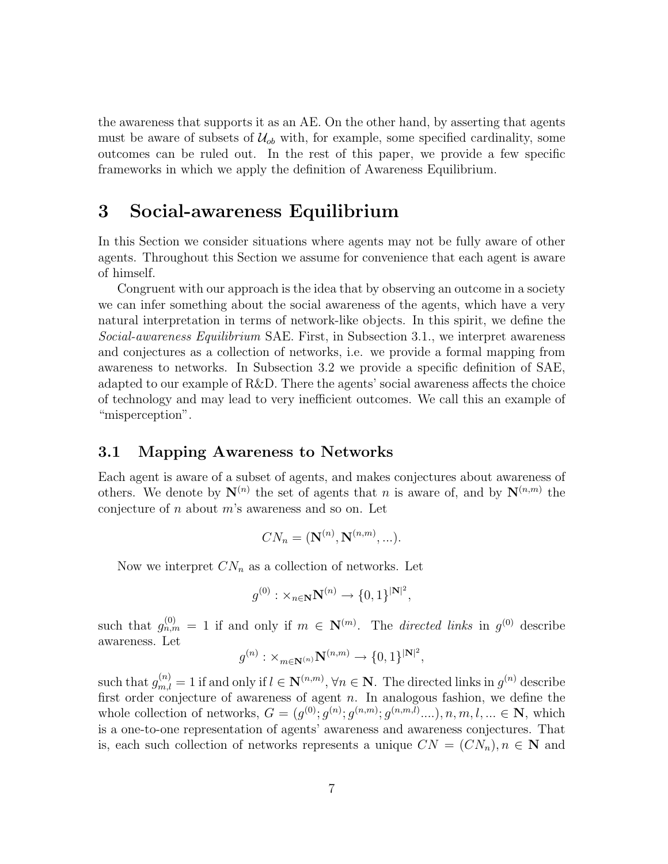the awareness that supports it as an AE. On the other hand, by asserting that agents must be aware of subsets of  $\mathcal{U}_{ob}$  with, for example, some specified cardinality, some outcomes can be ruled out. In the rest of this paper, we provide a few specific frameworks in which we apply the definition of Awareness Equilibrium.

### 3 Social-awareness Equilibrium

In this Section we consider situations where agents may not be fully aware of other agents. Throughout this Section we assume for convenience that each agent is aware of himself.

Congruent with our approach is the idea that by observing an outcome in a society we can infer something about the social awareness of the agents, which have a very natural interpretation in terms of network-like objects. In this spirit, we define the Social-awareness Equilibrium SAE. First, in Subsection 3.1., we interpret awareness and conjectures as a collection of networks, i.e. we provide a formal mapping from awareness to networks. In Subsection 3.2 we provide a specific definition of SAE, adapted to our example of R&D. There the agents' social awareness affects the choice of technology and may lead to very inefficient outcomes. We call this an example of "misperception".

### 3.1 Mapping Awareness to Networks

Each agent is aware of a subset of agents, and makes conjectures about awareness of others. We denote by  $\mathbf{N}^{(n)}$  the set of agents that n is aware of, and by  $\mathbf{N}^{(n,m)}$  the conjecture of  $n$  about  $m$ 's awareness and so on. Let

$$
CN_n = (\mathbf{N}^{(n)}, \mathbf{N}^{(n,m)}, \ldots).
$$

Now we interpret  $CN_n$  as a collection of networks. Let

$$
g^{(0)}: \times_{n\in\mathbf{N}} \mathbf{N}^{(n)} \to \{0,1\}^{|\mathbf{N}|^2},
$$

such that  $g_{n,m}^{(0)} = 1$  if and only if  $m \in \mathbb{N}^{(m)}$ . The *directed links* in  $g^{(0)}$  describe awareness. Let

$$
g^{(n)}: \times_{m\in\mathbf{N}^{(n)}} \mathbf{N}^{(n,m)} \rightarrow \{0,1\}^{|\mathbf{N}|^2},
$$

such that  $g_{m,l}^{(n)} = 1$  if and only if  $l \in \mathbb{N}^{(n,m)}$ ,  $\forall n \in \mathbb{N}$ . The directed links in  $g^{(n)}$  describe first order conjecture of awareness of agent  $n$ . In analogous fashion, we define the whole collection of networks,  $G = (g^{(0)}; g^{(n)}; g^{(n,m)}; g^{(n,m,l)}, \ldots), n, m, l, \ldots \in \mathbb{N}$ , which is a one-to-one representation of agents' awareness and awareness conjectures. That is, each such collection of networks represents a unique  $CN = (CN_n), n \in \mathbb{N}$  and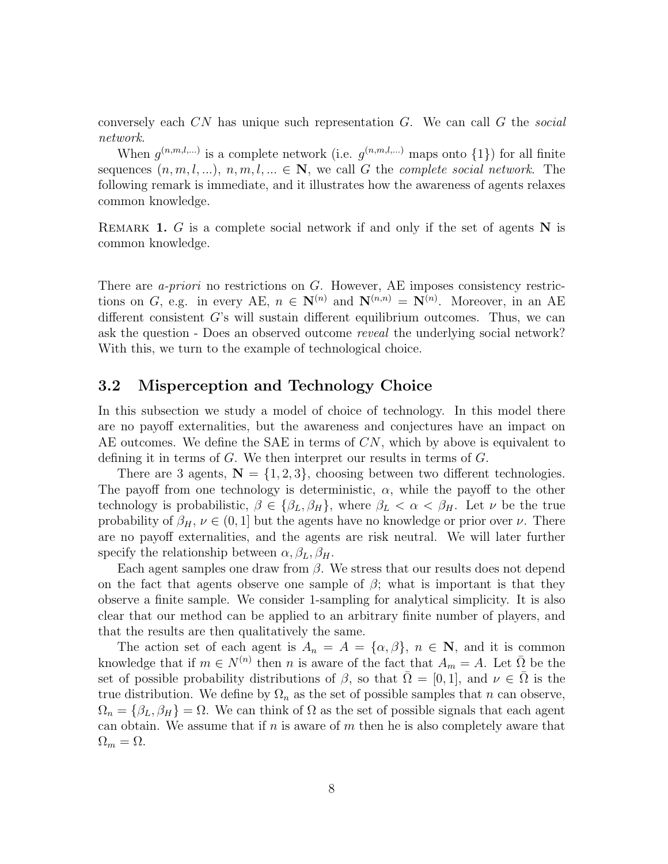conversely each  $CN$  has unique such representation  $G$ . We can call  $G$  the social network.

When  $g^{(n,m,l,...)}$  is a complete network (i.e.  $g^{(n,m,l,...)}$  maps onto  $\{1\}$ ) for all finite sequences  $(n, m, l, ...), n, m, l, ... \in \mathbb{N}$ , we call G the *complete social network*. The following remark is immediate, and it illustrates how the awareness of agents relaxes common knowledge.

REMARK 1. G is a complete social network if and only if the set of agents  $N$  is common knowledge.

There are *a-priori* no restrictions on G. However, AE imposes consistency restrictions on G, e.g. in every AE,  $n \in \mathbb{N}^{(n)}$  and  $\mathbb{N}^{(n,n)} = \mathbb{N}^{(n)}$ . Moreover, in an AE different consistent  $G$ 's will sustain different equilibrium outcomes. Thus, we can ask the question - Does an observed outcome reveal the underlying social network? With this, we turn to the example of technological choice.

### 3.2 Misperception and Technology Choice

In this subsection we study a model of choice of technology. In this model there are no payoff externalities, but the awareness and conjectures have an impact on AE outcomes. We define the SAE in terms of  $CN$ , which by above is equivalent to defining it in terms of  $G$ . We then interpret our results in terms of  $G$ .

There are 3 agents,  $N = \{1, 2, 3\}$ , choosing between two different technologies. The payoff from one technology is deterministic,  $\alpha$ , while the payoff to the other technology is probabilistic,  $\beta \in {\beta_L, \beta_H}$ , where  $\beta_L < \alpha < \beta_H$ . Let  $\nu$  be the true probability of  $\beta_H$ ,  $\nu \in (0, 1]$  but the agents have no knowledge or prior over  $\nu$ . There are no payoff externalities, and the agents are risk neutral. We will later further specify the relationship between  $\alpha, \beta_L, \beta_H$ .

Each agent samples one draw from  $\beta$ . We stress that our results does not depend on the fact that agents observe one sample of  $\beta$ ; what is important is that they observe a finite sample. We consider 1-sampling for analytical simplicity. It is also clear that our method can be applied to an arbitrary finite number of players, and that the results are then qualitatively the same.

The action set of each agent is  $A_n = A = {\alpha, \beta}$ ,  $n \in \mathbb{N}$ , and it is common knowledge that if  $m \in N^{(n)}$  then n is aware of the fact that  $A_m = A$ . Let  $\overline{\Omega}$  be the set of possible probability distributions of  $\beta$ , so that  $\Omega = [0,1]$ , and  $\nu \in \Omega$  is the true distribution. We define by  $\Omega_n$  as the set of possible samples that n can observe,  $\Omega_n = {\beta_L, \beta_H} = \Omega$ . We can think of  $\Omega$  as the set of possible signals that each agent can obtain. We assume that if n is aware of m then he is also completely aware that  $\Omega_m = \Omega$ .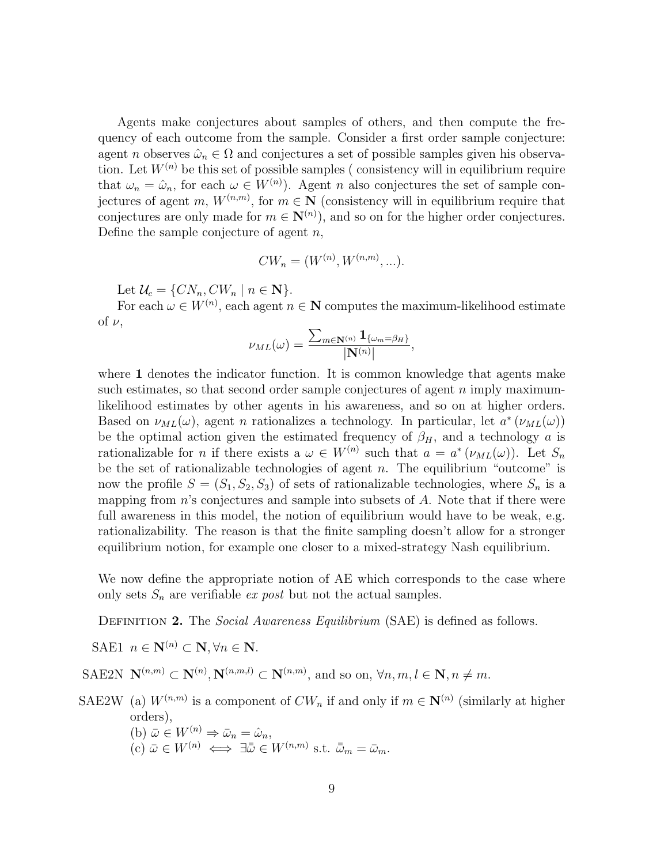Agents make conjectures about samples of others, and then compute the frequency of each outcome from the sample. Consider a first order sample conjecture: agent n observes  $\hat{\omega}_n \in \Omega$  and conjectures a set of possible samples given his observation. Let  $W^{(n)}$  be this set of possible samples (consistency will in equilibrium require that  $\omega_n = \hat{\omega}_n$ , for each  $\omega \in W^{(n)}$ ). Agent *n* also conjectures the set of sample conjectures of agent m,  $W^{(n,m)}$ , for  $m \in \mathbb{N}$  (consistency will in equilibrium require that conjectures are only made for  $m \in \mathbb{N}^{(n)}$ , and so on for the higher order conjectures. Define the sample conjecture of agent  $n$ ,

$$
CW_n = (W^{(n)}, W^{(n,m)}, \ldots).
$$

Let  $\mathcal{U}_c = \{CN_n, CW_n \mid n \in \mathbf{N}\}.$ 

For each  $\omega \in W^{(n)}$ , each agent  $n \in \mathbb{N}$  computes the maximum-likelihood estimate of  $\nu$ ,

$$
\nu_{ML}(\omega)=\frac{\sum_{m\in \mathbf{N}^{(n)}}\mathbf{1}_{\{\omega_m=\beta_H\}}}{|\mathbf{N}^{(n)}|},
$$

where 1 denotes the indicator function. It is common knowledge that agents make such estimates, so that second order sample conjectures of agent  $n$  imply maximumlikelihood estimates by other agents in his awareness, and so on at higher orders. Based on  $\nu_{ML}(\omega)$ , agent *n* rationalizes a technology. In particular, let  $a^*(\nu_{ML}(\omega))$ be the optimal action given the estimated frequency of  $\beta_H$ , and a technology a is rationalizable for *n* if there exists a  $\omega \in W^{(n)}$  such that  $a = a^* (\nu_{ML}(\omega))$ . Let  $S_n$ be the set of rationalizable technologies of agent  $n$ . The equilibrium "outcome" is now the profile  $S = (S_1, S_2, S_3)$  of sets of rationalizable technologies, where  $S_n$  is a mapping from  $n$ 's conjectures and sample into subsets of  $A$ . Note that if there were full awareness in this model, the notion of equilibrium would have to be weak, e.g. rationalizability. The reason is that the finite sampling doesn't allow for a stronger equilibrium notion, for example one closer to a mixed-strategy Nash equilibrium.

We now define the appropriate notion of AE which corresponds to the case where only sets  $S_n$  are verifiable ex post but not the actual samples.

DEFINITION 2. The Social Awareness Equilibrium (SAE) is defined as follows.

SAE1  $n \in \mathbf{N}^{(n)} \subset \mathbf{N}, \forall n \in \mathbf{N}.$ 

SAE2N  $\mathbf{N}^{(n,m)} \subset \mathbf{N}^{(n)}$ ,  $\mathbf{N}^{(n,m,l)} \subset \mathbf{N}^{(n,m)}$ , and so on,  $\forall n,m,l \in \mathbf{N}$ ,  $n \neq m$ .

- SAE2W (a)  $W^{(n,m)}$  is a component of  $CW_n$  if and only if  $m \in \mathbb{N}^{(n)}$  (similarly at higher orders), (b)  $\bar{\omega} \in W^{(n)} \Rightarrow \bar{\omega}_n = \hat{\omega}_n$ ,
	- $(c) \bar{\omega} \in W^{(n)} \iff \exists \bar{\bar{\omega}} \in W^{(n,m)} \text{ s.t. } \bar{\bar{\omega}}_m = \bar{\omega}_m.$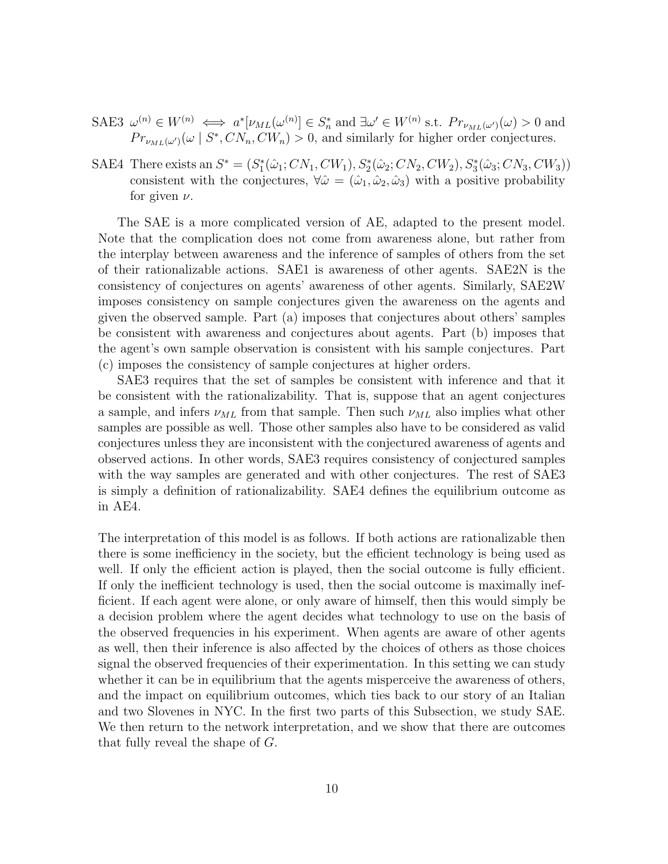- SAE3  $\omega^{(n)} \in W^{(n)} \iff a^*[\nu_{ML}(\omega^{(n)}] \in S_n^* \text{ and } \exists \omega' \in W^{(n)} \text{ s.t. } Pr_{\nu_{ML}(\omega')}(\omega) > 0 \text{ and }$  $Pr_{\nu_{ML}(\omega')}(\omega \mid S^*, CN_n, CW_n) > 0$ , and similarly for higher order conjectures.
- SAE4 There exists an  $S^* = (S_1^*(\hat{\omega}_1; CN_1, CW_1), S_2^*(\hat{\omega}_2; CN_2, CW_2), S_3^*(\hat{\omega}_3; CN_3, CW_3))$ consistent with the conjectures,  $\forall \hat{\omega} = (\hat{\omega}_1, \hat{\omega}_2, \hat{\omega}_3)$  with a positive probability for given  $\nu$ .

The SAE is a more complicated version of AE, adapted to the present model. Note that the complication does not come from awareness alone, but rather from the interplay between awareness and the inference of samples of others from the set of their rationalizable actions. SAE1 is awareness of other agents. SAE2N is the consistency of conjectures on agents' awareness of other agents. Similarly, SAE2W imposes consistency on sample conjectures given the awareness on the agents and given the observed sample. Part (a) imposes that conjectures about others' samples be consistent with awareness and conjectures about agents. Part (b) imposes that the agent's own sample observation is consistent with his sample conjectures. Part (c) imposes the consistency of sample conjectures at higher orders.

SAE3 requires that the set of samples be consistent with inference and that it be consistent with the rationalizability. That is, suppose that an agent conjectures a sample, and infers  $\nu_{ML}$  from that sample. Then such  $\nu_{ML}$  also implies what other samples are possible as well. Those other samples also have to be considered as valid conjectures unless they are inconsistent with the conjectured awareness of agents and observed actions. In other words, SAE3 requires consistency of conjectured samples with the way samples are generated and with other conjectures. The rest of SAE3 is simply a definition of rationalizability. SAE4 defines the equilibrium outcome as in AE4.

The interpretation of this model is as follows. If both actions are rationalizable then there is some inefficiency in the society, but the efficient technology is being used as well. If only the efficient action is played, then the social outcome is fully efficient. If only the inefficient technology is used, then the social outcome is maximally inefficient. If each agent were alone, or only aware of himself, then this would simply be a decision problem where the agent decides what technology to use on the basis of the observed frequencies in his experiment. When agents are aware of other agents as well, then their inference is also affected by the choices of others as those choices signal the observed frequencies of their experimentation. In this setting we can study whether it can be in equilibrium that the agents misperceive the awareness of others, and the impact on equilibrium outcomes, which ties back to our story of an Italian and two Slovenes in NYC. In the first two parts of this Subsection, we study SAE. We then return to the network interpretation, and we show that there are outcomes that fully reveal the shape of G.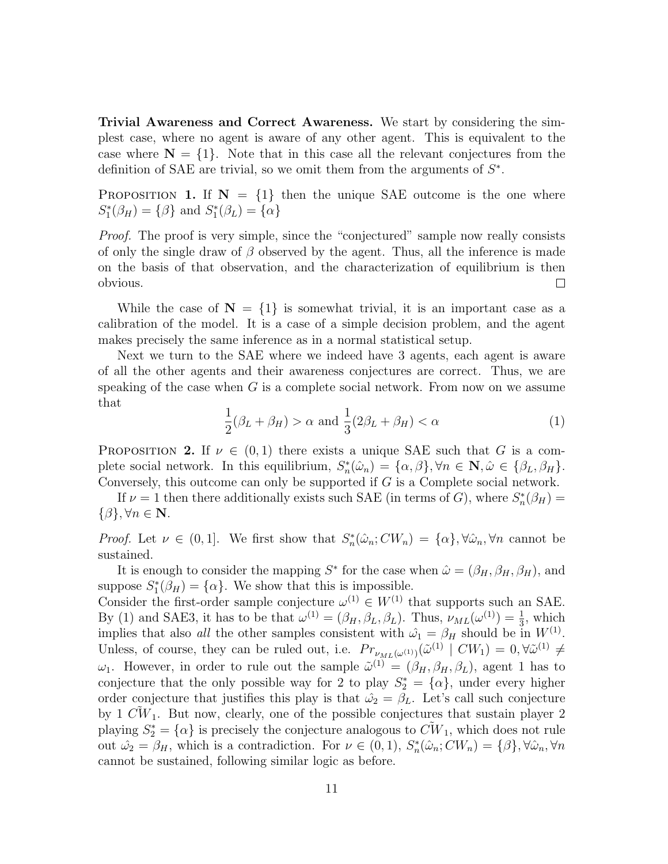Trivial Awareness and Correct Awareness. We start by considering the simplest case, where no agent is aware of any other agent. This is equivalent to the case where  $N = \{1\}$ . Note that in this case all the relevant conjectures from the definition of SAE are trivial, so we omit them from the arguments of  $S^*$ .

PROPOSITION 1. If  $N = \{1\}$  then the unique SAE outcome is the one where  $S_1^*(\beta_H) = {\beta}$  and  $S_1^*(\beta_L) = {\alpha}$ 

Proof. The proof is very simple, since the "conjectured" sample now really consists of only the single draw of  $\beta$  observed by the agent. Thus, all the inference is made on the basis of that observation, and the characterization of equilibrium is then obvious.  $\Box$ 

While the case of  $N = \{1\}$  is somewhat trivial, it is an important case as a calibration of the model. It is a case of a simple decision problem, and the agent makes precisely the same inference as in a normal statistical setup.

Next we turn to the SAE where we indeed have 3 agents, each agent is aware of all the other agents and their awareness conjectures are correct. Thus, we are speaking of the case when  $G$  is a complete social network. From now on we assume that

$$
\frac{1}{2}(\beta_L + \beta_H) > \alpha \text{ and } \frac{1}{3}(2\beta_L + \beta_H) < \alpha \tag{1}
$$

**PROPOSITION 2.** If  $\nu \in (0,1)$  there exists a unique SAE such that G is a complete social network. In this equilibrium,  $S_n^*(\hat{\omega}_n) = {\alpha, \beta}, \forall n \in \mathbb{N}, \hat{\omega} \in {\beta_L, \beta_H}.$ Conversely, this outcome can only be supported if G is a Complete social network.

If  $\nu = 1$  then there additionally exists such SAE (in terms of G), where  $S_n^*(\beta_H) =$  $\{\beta\}, \forall n \in \mathbf{N}.$ 

*Proof.* Let  $\nu \in (0,1]$ . We first show that  $S_n^*(\hat{\omega}_n; CW_n) = {\alpha}$ ,  $\forall \hat{\omega}_n, \forall n$  cannot be sustained.

It is enough to consider the mapping  $S^*$  for the case when  $\hat{\omega} = (\beta_H, \beta_H, \beta_H)$ , and suppose  $S_1^*(\beta_H) = {\alpha}$ . We show that this is impossible.

Consider the first-order sample conjecture  $\omega^{(1)} \in W^{(1)}$  that supports such an SAE. By (1) and SAE3, it has to be that  $\omega^{(1)} = (\beta_H, \beta_L, \beta_L)$ . Thus,  $\nu_{ML}(\omega^{(1)}) = \frac{1}{3}$ , which implies that also all the other samples consistent with  $\hat{\omega_1} = \beta_H$  should be in  $W^{(1)}$ . Unless, of course, they can be ruled out, i.e.  $Pr_{\nu_{ML}(\omega^{(1)})}(\tilde{\omega}^{(1)} \mid CW_1) = 0, \forall \tilde{\omega}^{(1)} \neq 0$  $\omega_1$ . However, in order to rule out the sample  $\tilde{\omega}^{(1)} = (\beta_H, \beta_H, \beta_L)$ , agent 1 has to conjecture that the only possible way for 2 to play  $S_2^* = {\alpha}$ , under every higher order conjecture that justifies this play is that  $\hat{\omega}_2 = \beta_L$ . Let's call such conjecture by 1  $\tilde{CW}_1$ . But now, clearly, one of the possible conjectures that sustain player 2 playing  $S_2^* = {\alpha}$  is precisely the conjecture analogous to  $\tilde{CW}_1$ , which does not rule out  $\hat{\omega}_2 = \beta_H$ , which is a contradiction. For  $\nu \in (0,1)$ ,  $S_n^*(\hat{\omega}_n; CW_n) = {\beta}, \forall \hat{\omega}_n, \forall n$ cannot be sustained, following similar logic as before.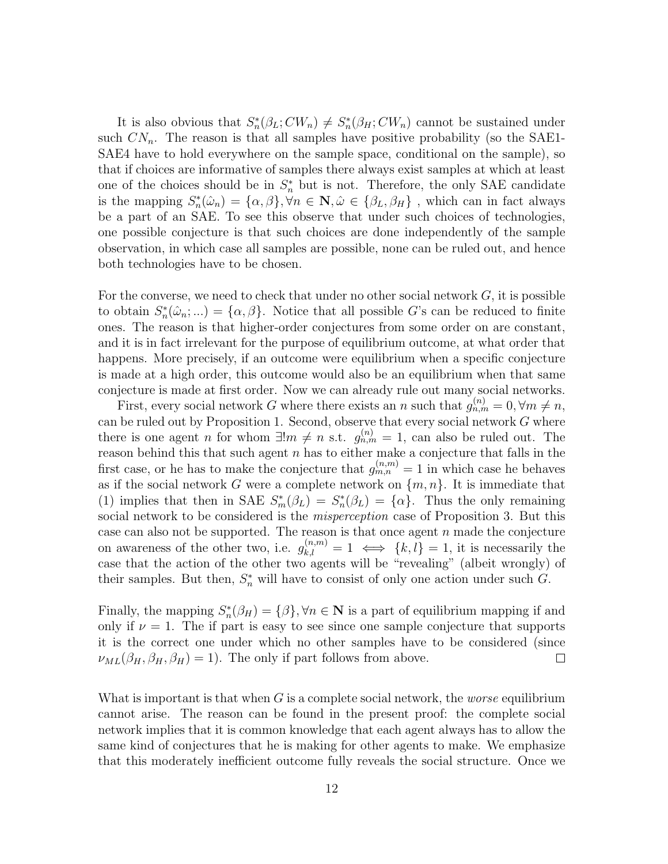It is also obvious that  $S_n^*(\beta_L; CW_n) \neq S_n^*(\beta_H; CW_n)$  cannot be sustained under such  $CN_n$ . The reason is that all samples have positive probability (so the SAE1-SAE4 have to hold everywhere on the sample space, conditional on the sample), so that if choices are informative of samples there always exist samples at which at least one of the choices should be in  $S_n^*$  but is not. Therefore, the only SAE candidate is the mapping  $S_n^*(\hat{\omega}_n) = {\alpha, \beta}, \forall n \in \mathbb{N}, \hat{\omega} \in {\beta_L, \beta_H}$ , which can in fact always be a part of an SAE. To see this observe that under such choices of technologies, one possible conjecture is that such choices are done independently of the sample observation, in which case all samples are possible, none can be ruled out, and hence both technologies have to be chosen.

For the converse, we need to check that under no other social network  $G$ , it is possible to obtain  $S_n^*(\hat{\omega}_n; ...) = {\alpha, \beta}$ . Notice that all possible G's can be reduced to finite ones. The reason is that higher-order conjectures from some order on are constant, and it is in fact irrelevant for the purpose of equilibrium outcome, at what order that happens. More precisely, if an outcome were equilibrium when a specific conjecture is made at a high order, this outcome would also be an equilibrium when that same conjecture is made at first order. Now we can already rule out many social networks.

First, every social network G where there exists an n such that  $g_{n,m}^{(n)} = 0, \forall m \neq n$ , can be ruled out by Proposition 1. Second, observe that every social network  $G$  where there is one agent *n* for whom  $\exists! m \neq n$  s.t.  $g_{n,m}^{(n)} = 1$ , can also be ruled out. The reason behind this that such agent  $n$  has to either make a conjecture that falls in the first case, or he has to make the conjecture that  $g_{m,n}^{(n,m)} = 1$  in which case he behaves as if the social network G were a complete network on  $\{m, n\}$ . It is immediate that (1) implies that then in SAE  $S_m^*(\beta_L) = S_n^*(\beta_L) = {\alpha}$ . Thus the only remaining social network to be considered is the *misperception* case of Proposition 3. But this case can also not be supported. The reason is that once agent  $n$  made the conjecture on awareness of the other two, i.e.  $g_{k,l}^{(n,m)} = 1 \iff \{k,l\} = 1$ , it is necessarily the case that the action of the other two agents will be "revealing" (albeit wrongly) of their samples. But then,  $S_n^*$  will have to consist of only one action under such G.

Finally, the mapping  $S_n^*(\beta_H) = {\beta}$ ,  $\forall n \in \mathbb{N}$  is a part of equilibrium mapping if and only if  $\nu = 1$ . The if part is easy to see since one sample conjecture that supports it is the correct one under which no other samples have to be considered (since  $\nu_{ML}(\beta_H, \beta_H, \beta_H) = 1$ . The only if part follows from above.  $\Box$ 

What is important is that when  $G$  is a complete social network, the *worse* equilibrium cannot arise. The reason can be found in the present proof: the complete social network implies that it is common knowledge that each agent always has to allow the same kind of conjectures that he is making for other agents to make. We emphasize that this moderately inefficient outcome fully reveals the social structure. Once we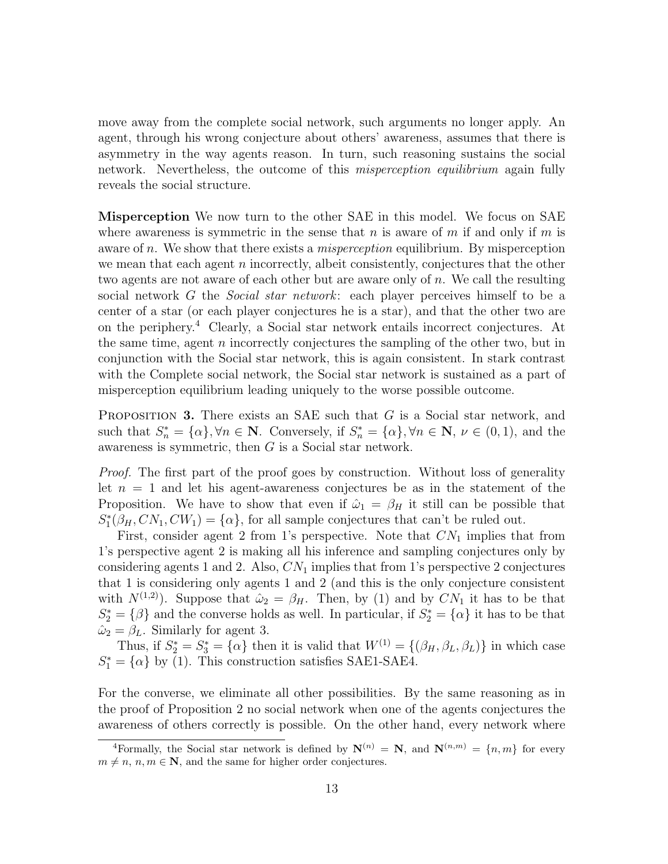move away from the complete social network, such arguments no longer apply. An agent, through his wrong conjecture about others' awareness, assumes that there is asymmetry in the way agents reason. In turn, such reasoning sustains the social network. Nevertheless, the outcome of this *misperception equilibrium* again fully reveals the social structure.

Misperception We now turn to the other SAE in this model. We focus on SAE where awareness is symmetric in the sense that n is aware of m if and only if m is aware of n. We show that there exists a *misperception* equilibrium. By misperception we mean that each agent n incorrectly, albeit consistently, conjectures that the other two agents are not aware of each other but are aware only of n. We call the resulting social network G the *Social star network*: each player perceives himself to be a center of a star (or each player conjectures he is a star), and that the other two are on the periphery.<sup>4</sup> Clearly, a Social star network entails incorrect conjectures. At the same time, agent  $n$  incorrectly conjectures the sampling of the other two, but in conjunction with the Social star network, this is again consistent. In stark contrast with the Complete social network, the Social star network is sustained as a part of misperception equilibrium leading uniquely to the worse possible outcome.

**PROPOSITION 3.** There exists an SAE such that  $G$  is a Social star network, and such that  $S_n^* = {\alpha}$ ,  $\forall n \in \mathbb{N}$ . Conversely, if  $S_n^* = {\alpha}$ ,  $\forall n \in \mathbb{N}$ ,  $\nu \in (0, 1)$ , and the awareness is symmetric, then G is a Social star network.

Proof. The first part of the proof goes by construction. Without loss of generality let  $n = 1$  and let his agent-awareness conjectures be as in the statement of the Proposition. We have to show that even if  $\hat{\omega}_1 = \beta_H$  it still can be possible that  $S_1^*(\beta_H, CN_1, CW_1) = {\alpha}$ , for all sample conjectures that can't be ruled out.

First, consider agent 2 from 1's perspective. Note that  $CN_1$  implies that from 1's perspective agent 2 is making all his inference and sampling conjectures only by considering agents 1 and 2. Also,  $CN_1$  implies that from 1's perspective 2 conjectures that 1 is considering only agents 1 and 2 (and this is the only conjecture consistent with  $N^{(1,2)}$ ). Suppose that  $\hat{\omega}_2 = \beta_H$ . Then, by (1) and by  $CN_1$  it has to be that  $S_2^* = \{\beta\}$  and the converse holds as well. In particular, if  $S_2^* = \{\alpha\}$  it has to be that  $\hat{\omega}_2 = \beta_L$ . Similarly for agent 3.

Thus, if  $S_2^* = S_3^* = {\alpha}$  then it is valid that  $W^{(1)} = {\beta_H, \beta_L, \beta_L}$  in which case  $S_1^* = {\alpha}$  by (1). This construction satisfies SAE1-SAE4.

For the converse, we eliminate all other possibilities. By the same reasoning as in the proof of Proposition 2 no social network when one of the agents conjectures the awareness of others correctly is possible. On the other hand, every network where

<sup>&</sup>lt;sup>4</sup>Formally, the Social star network is defined by  $N^{(n)} = N$ , and  $N^{(n,m)} = \{n,m\}$  for every  $m \neq n, n, m \in \mathbb{N}$ , and the same for higher order conjectures.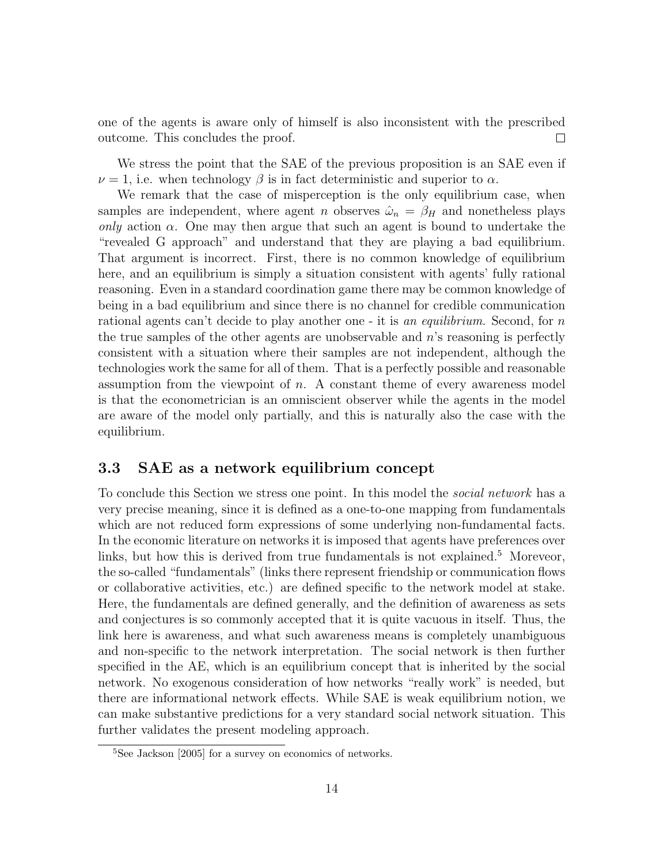one of the agents is aware only of himself is also inconsistent with the prescribed outcome. This concludes the proof.  $\Box$ 

We stress the point that the SAE of the previous proposition is an SAE even if  $\nu = 1$ , i.e. when technology  $\beta$  is in fact deterministic and superior to  $\alpha$ .

We remark that the case of misperception is the only equilibrium case, when samples are independent, where agent n observes  $\hat{\omega}_n = \beta_H$  and nonetheless plays only action  $\alpha$ . One may then argue that such an agent is bound to undertake the "revealed G approach" and understand that they are playing a bad equilibrium. That argument is incorrect. First, there is no common knowledge of equilibrium here, and an equilibrium is simply a situation consistent with agents' fully rational reasoning. Even in a standard coordination game there may be common knowledge of being in a bad equilibrium and since there is no channel for credible communication rational agents can't decide to play another one - it is an equilibrium. Second, for n the true samples of the other agents are unobservable and n's reasoning is perfectly consistent with a situation where their samples are not independent, although the technologies work the same for all of them. That is a perfectly possible and reasonable assumption from the viewpoint of  $n$ . A constant theme of every awareness model is that the econometrician is an omniscient observer while the agents in the model are aware of the model only partially, and this is naturally also the case with the equilibrium.

### 3.3 SAE as a network equilibrium concept

To conclude this Section we stress one point. In this model the *social network* has a very precise meaning, since it is defined as a one-to-one mapping from fundamentals which are not reduced form expressions of some underlying non-fundamental facts. In the economic literature on networks it is imposed that agents have preferences over links, but how this is derived from true fundamentals is not explained.<sup>5</sup> Moreveor, the so-called "fundamentals" (links there represent friendship or communication flows or collaborative activities, etc.) are defined specific to the network model at stake. Here, the fundamentals are defined generally, and the definition of awareness as sets and conjectures is so commonly accepted that it is quite vacuous in itself. Thus, the link here is awareness, and what such awareness means is completely unambiguous and non-specific to the network interpretation. The social network is then further specified in the AE, which is an equilibrium concept that is inherited by the social network. No exogenous consideration of how networks "really work" is needed, but there are informational network effects. While SAE is weak equilibrium notion, we can make substantive predictions for a very standard social network situation. This further validates the present modeling approach.

<sup>5</sup>See Jackson [2005] for a survey on economics of networks.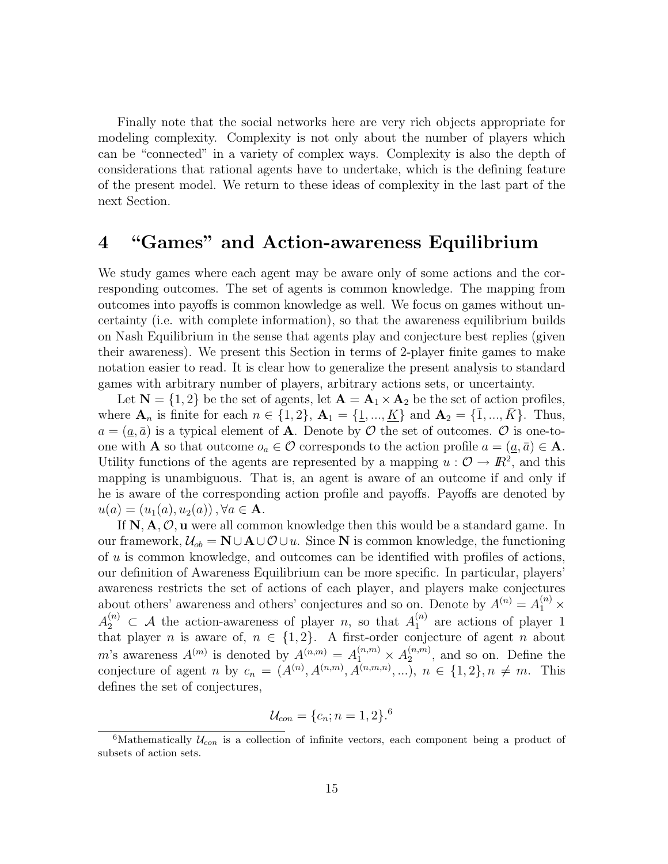Finally note that the social networks here are very rich objects appropriate for modeling complexity. Complexity is not only about the number of players which can be "connected" in a variety of complex ways. Complexity is also the depth of considerations that rational agents have to undertake, which is the defining feature of the present model. We return to these ideas of complexity in the last part of the next Section.

## 4 "Games" and Action-awareness Equilibrium

We study games where each agent may be aware only of some actions and the corresponding outcomes. The set of agents is common knowledge. The mapping from outcomes into payoffs is common knowledge as well. We focus on games without uncertainty (i.e. with complete information), so that the awareness equilibrium builds on Nash Equilibrium in the sense that agents play and conjecture best replies (given their awareness). We present this Section in terms of 2-player finite games to make notation easier to read. It is clear how to generalize the present analysis to standard games with arbitrary number of players, arbitrary actions sets, or uncertainty.

Let  $N = \{1, 2\}$  be the set of agents, let  $A = A_1 \times A_2$  be the set of action profiles, where  $A_n$  is finite for each  $n \in \{1, 2\}$ ,  $A_1 = \{\underline{1}, ..., \underline{K}\}$  and  $A_2 = \{\overline{1}, ..., \overline{K}\}$ . Thus,  $a = (\underline{a}, \overline{a})$  is a typical element of **A**. Denote by  $\mathcal{O}$  the set of outcomes.  $\mathcal{O}$  is one-toone with **A** so that outcome  $o_a \in \mathcal{O}$  corresponds to the action profile  $a = (a, \bar{a}) \in \mathbf{A}$ . Utility functions of the agents are represented by a mapping  $u : \mathcal{O} \to \mathbb{R}^2$ , and this mapping is unambiguous. That is, an agent is aware of an outcome if and only if he is aware of the corresponding action profile and payoffs. Payoffs are denoted by  $u(a) = (u_1(a), u_2(a))$ ,  $\forall a \in \mathbf{A}$ .

If  $\mathbb{N}, \mathbf{A}, \mathcal{O}, \mathbf{u}$  were all common knowledge then this would be a standard game. In our framework,  $\mathcal{U}_{ob} = \mathbf{N} \cup \mathbf{A} \cup \mathcal{O} \cup u$ . Since N is common knowledge, the functioning of u is common knowledge, and outcomes can be identified with profiles of actions, our definition of Awareness Equilibrium can be more specific. In particular, players' awareness restricts the set of actions of each player, and players make conjectures about others' awareness and others' conjectures and so on. Denote by  $A^{(n)} = A_1^{(n)} \times$  $A_2^{(n)} \subset A$  the action-awareness of player n, so that  $A_1^{(n)}$  $_1^{(n)}$  are actions of player 1 that player n is aware of,  $n \in \{1, 2\}$ . A first-order conjecture of agent n about m's awareness  $A^{(m)}$  is denoted by  $A^{(n,m)} = A_1^{(n,m)} \times A_2^{(n,m)}$  $2^{(n,m)}$ , and so on. Define the conjecture of agent *n* by  $c_n = (A^{(n)}, A^{(n,m)}, A^{(n,m,n)}, ...)$ ,  $n \in \{1,2\}, n \neq m$ . This defines the set of conjectures,

$$
\mathcal{U}_{con} = \{c_n; n = 1, 2\}^{6}
$$

<sup>&</sup>lt;sup>6</sup>Mathematically  $\mathcal{U}_{con}$  is a collection of infinite vectors, each component being a product of subsets of action sets.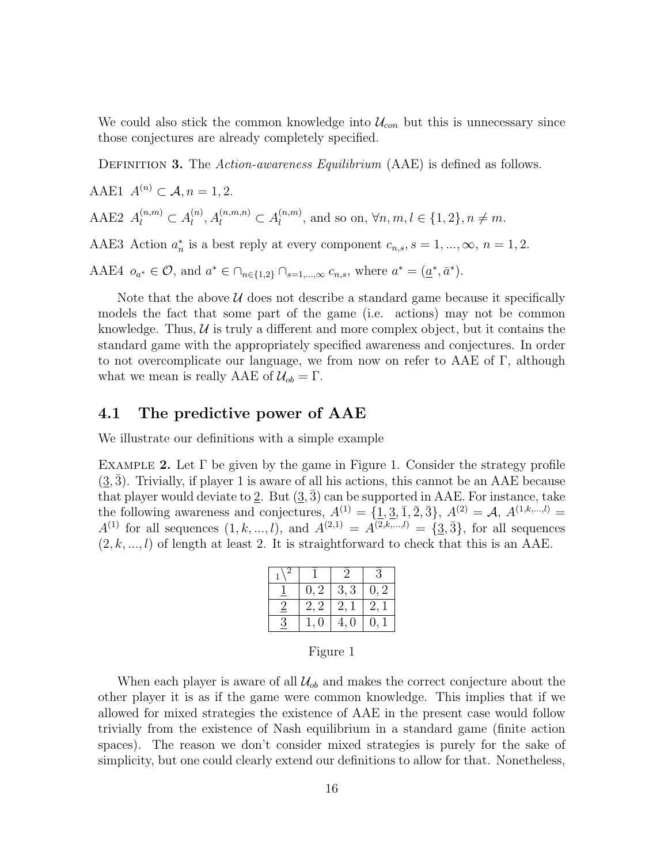We could also stick the common knowledge into  $\mathcal{U}_{con}$  but this is unnecessary since those conjectures are already completely specified.

DEFINITION 3. The Action-awareness Equilibrium (AAE) is defined as follows.

AAE1  $A^{(n)} \subset \mathcal{A}, n = 1, 2.$ AAE2  $A_l^{(n,m)} \subset A_l^{(n)}$  $\lambda_l^{(n)}$ ,  $A_l^{(n,m,n)} \subset A_l^{(n,m)}$  $\mathcal{U}_l^{(n,m)}$ , and so on,  $\forall n,m,l \in \{1,2\}, n \neq m$ . AAE3 Action  $a_n^*$  is a best reply at every component  $c_{n,s}$ ,  $s = 1, ..., \infty$ ,  $n = 1, 2$ .

AAE4  $o_{a^*} \in \mathcal{O}$ , and  $a^* \in \bigcap_{n \in \{1,2\}} \bigcap_{s=1,\dots,\infty} c_{n,s}$ , where  $a^* = (\underline{a}^*, \overline{a}^*)$ .

Note that the above  $U$  does not describe a standard game because it specifically models the fact that some part of the game (i.e. actions) may not be common knowledge. Thus,  $U$  is truly a different and more complex object, but it contains the standard game with the appropriately specified awareness and conjectures. In order to not overcomplicate our language, we from now on refer to AAE of  $\Gamma$ , although what we mean is really AAE of  $\mathcal{U}_{ob} = \Gamma$ .

### 4.1 The predictive power of AAE

We illustrate our definitions with a simple example

EXAMPLE 2. Let  $\Gamma$  be given by the game in Figure 1. Consider the strategy profile  $(3,\overline{3})$ . Trivially, if player 1 is aware of all his actions, this cannot be an AAE because that player would deviate to 2. But  $(3,3)$  can be supported in AAE. For instance, take the following awareness and conjectures,  $A^{(1)} = {\{\underline{1}, \underline{3}, \overline{1}, \overline{2}, \overline{3}\}}, A^{(2)} = A, A^{(1,k,...,l)} =$  $A^{(1)}$  for all sequences  $(1, k, ..., l)$ , and  $A^{(2,1)} = A^{(2,k,...,l)} = \{3, 3\}$ , for all sequences  $(2, k, ..., l)$  of length at least 2. It is straightforward to check that this is an AAE.

|                |      |      | 3    |  |
|----------------|------|------|------|--|
|                | 0, 2 | 3, 3 | 0, 2 |  |
| $\overline{2}$ | 2, 2 | 2, 1 | 2,1  |  |
| 3              | 1,0  | 4,0  | 0, 1 |  |

#### Figure 1

When each player is aware of all  $\mathcal{U}_{ob}$  and makes the correct conjecture about the other player it is as if the game were common knowledge. This implies that if we allowed for mixed strategies the existence of AAE in the present case would follow trivially from the existence of Nash equilibrium in a standard game (finite action spaces). The reason we don't consider mixed strategies is purely for the sake of simplicity, but one could clearly extend our definitions to allow for that. Nonetheless,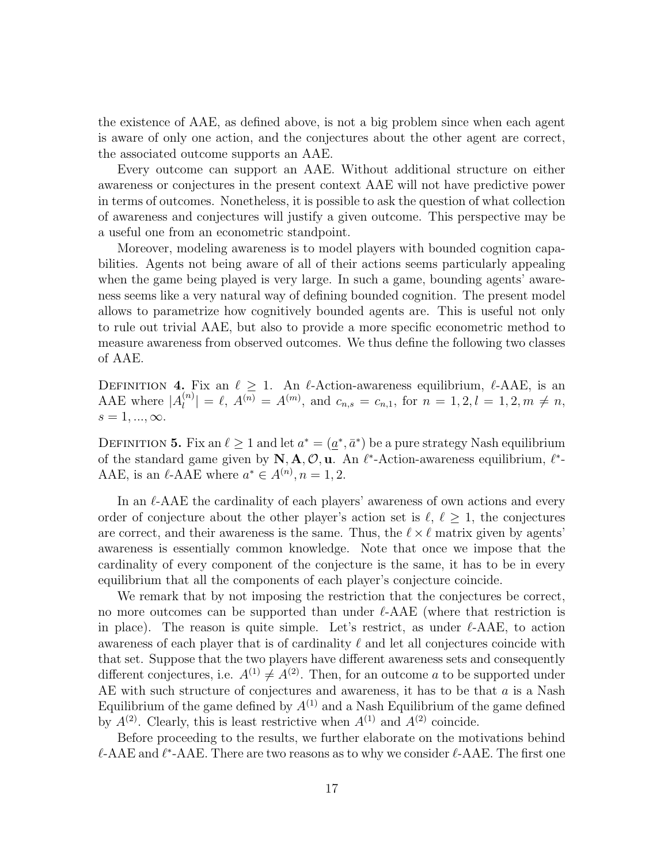the existence of AAE, as defined above, is not a big problem since when each agent is aware of only one action, and the conjectures about the other agent are correct, the associated outcome supports an AAE.

Every outcome can support an AAE. Without additional structure on either awareness or conjectures in the present context AAE will not have predictive power in terms of outcomes. Nonetheless, it is possible to ask the question of what collection of awareness and conjectures will justify a given outcome. This perspective may be a useful one from an econometric standpoint.

Moreover, modeling awareness is to model players with bounded cognition capabilities. Agents not being aware of all of their actions seems particularly appealing when the game being played is very large. In such a game, bounding agents' awareness seems like a very natural way of defining bounded cognition. The present model allows to parametrize how cognitively bounded agents are. This is useful not only to rule out trivial AAE, but also to provide a more specific econometric method to measure awareness from observed outcomes. We thus define the following two classes of AAE.

DEFINITION 4. Fix an  $\ell \geq 1$ . An  $\ell$ -Action-awareness equilibrium,  $\ell$ -AAE, is an AAE where  $|A_l^{(n)}|$  $\left|\binom{n}{l}\right| = \ell, A^{(n)} = A^{(m)}$ , and  $c_{n,s} = c_{n,1}$ , for  $n = 1, 2, l = 1, 2, m \neq n$ ,  $s = 1, \ldots, \infty$ .

DEFINITION 5. Fix an  $\ell \geq 1$  and let  $a^* = (\underline{a}^*, \overline{a}^*)$  be a pure strategy Nash equilibrium of the standard game given by  $\mathbb{N}, \mathbb{A}, \mathcal{O}, \mathbf{u}$ . An  $\ell^*$ -Action-awareness equilibrium,  $\ell^*$ -AAE, is an  $\ell$ -AAE where  $a^* \in A^{(n)}$ ,  $n = 1, 2$ .

In an  $\ell$ -AAE the cardinality of each players' awareness of own actions and every order of conjecture about the other player's action set is  $\ell, \ell > 1$ , the conjectures are correct, and their awareness is the same. Thus, the  $\ell \times \ell$  matrix given by agents' awareness is essentially common knowledge. Note that once we impose that the cardinality of every component of the conjecture is the same, it has to be in every equilibrium that all the components of each player's conjecture coincide.

We remark that by not imposing the restriction that the conjectures be correct, no more outcomes can be supported than under  $\ell$ -AAE (where that restriction is in place). The reason is quite simple. Let's restrict, as under  $\ell$ -AAE, to action awareness of each player that is of cardinality  $\ell$  and let all conjectures coincide with that set. Suppose that the two players have different awareness sets and consequently different conjectures, i.e.  $A^{(1)} \neq A^{(2)}$ . Then, for an outcome a to be supported under AE with such structure of conjectures and awareness, it has to be that  $a$  is a Nash Equilibrium of the game defined by  $A^{(1)}$  and a Nash Equilibrium of the game defined by  $A^{(2)}$ . Clearly, this is least restrictive when  $A^{(1)}$  and  $A^{(2)}$  coincide.

Before proceeding to the results, we further elaborate on the motivations behind  $\ell$ -AAE and  $\ell^*$ -AAE. There are two reasons as to why we consider  $\ell$ -AAE. The first one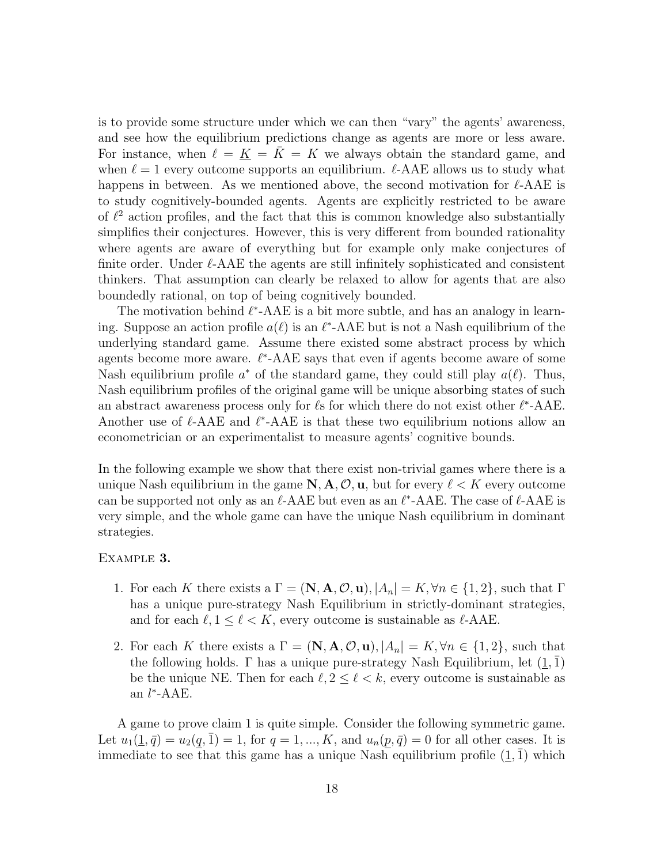is to provide some structure under which we can then "vary" the agents' awareness, and see how the equilibrium predictions change as agents are more or less aware. For instance, when  $\ell = K = K = K$  we always obtain the standard game, and when  $\ell = 1$  every outcome supports an equilibrium.  $\ell$ -AAE allows us to study what happens in between. As we mentioned above, the second motivation for  $\ell$ -AAE is to study cognitively-bounded agents. Agents are explicitly restricted to be aware of  $\ell^2$  action profiles, and the fact that this is common knowledge also substantially simplifies their conjectures. However, this is very different from bounded rationality where agents are aware of everything but for example only make conjectures of finite order. Under  $\ell$ -AAE the agents are still infinitely sophisticated and consistent thinkers. That assumption can clearly be relaxed to allow for agents that are also boundedly rational, on top of being cognitively bounded.

The motivation behind  $\ell^*$ -AAE is a bit more subtle, and has an analogy in learning. Suppose an action profile  $a(\ell)$  is an  $\ell^*$ -AAE but is not a Nash equilibrium of the underlying standard game. Assume there existed some abstract process by which agents become more aware.  $\ell^*$ -AAE says that even if agents become aware of some Nash equilibrium profile  $a^*$  of the standard game, they could still play  $a(\ell)$ . Thus, Nash equilibrium profiles of the original game will be unique absorbing states of such an abstract awareness process only for  $\ell$ s for which there do not exist other  $\ell^*$ -AAE. Another use of  $\ell$ -AAE and  $\ell^*$ -AAE is that these two equilibrium notions allow an econometrician or an experimentalist to measure agents' cognitive bounds.

In the following example we show that there exist non-trivial games where there is a unique Nash equilibrium in the game  $\mathbb{N}, \mathbb{A}, \mathcal{O}, \mathbf{u}$ , but for every  $\ell < K$  every outcome can be supported not only as an  $\ell$ -AAE but even as an  $\ell^*$ -AAE. The case of  $\ell$ -AAE is very simple, and the whole game can have the unique Nash equilibrium in dominant strategies.

#### Example 3.

- 1. For each K there exists a  $\Gamma = (\mathbf{N}, \mathbf{A}, \mathcal{O}, \mathbf{u}), |A_n| = K, \forall n \in \{1, 2\}$ , such that  $\Gamma$ has a unique pure-strategy Nash Equilibrium in strictly-dominant strategies, and for each  $\ell, 1 \leq \ell < K$ , every outcome is sustainable as  $\ell$ -AAE.
- 2. For each K there exists a  $\Gamma = (\mathbf{N}, \mathbf{A}, \mathcal{O}, \mathbf{u}), |A_n| = K, \forall n \in \{1, 2\}$ , such that the following holds. Γ has a unique pure-strategy Nash Equilibrium, let  $(1, 1)$ be the unique NE. Then for each  $\ell, 2 \leq \ell \leq k$ , every outcome is sustainable as an  $l^*$ -AAE.

A game to prove claim 1 is quite simple. Consider the following symmetric game. Let  $u_1(\underline{1}, \bar{q}) = u_2(q, 1) = 1$ , for  $q = 1, ..., K$ , and  $u_n(p, \bar{q}) = 0$  for all other cases. It is immediate to see that this game has a unique Nash equilibrium profile  $(1, 1)$  which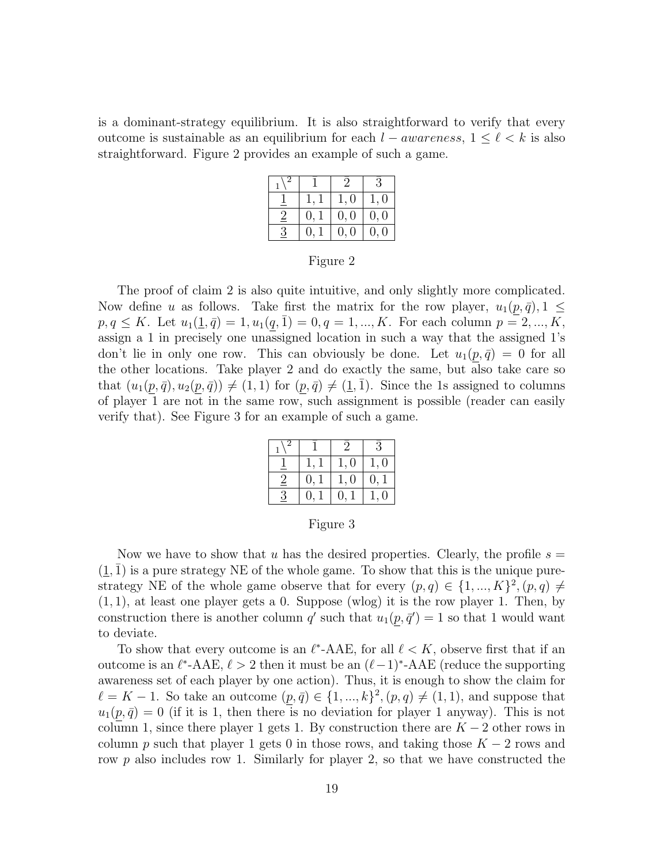is a dominant-strategy equilibrium. It is also straightforward to verify that every outcome is sustainable as an equilibrium for each  $l - awareness$ ,  $1 \leq \ell \leq k$  is also straightforward. Figure 2 provides an example of such a game.

|                |      |      | $\overline{3}$ |
|----------------|------|------|----------------|
|                |      | 1,0  | 1,0            |
| $\overline{2}$ | 0, 1 | 0, 0 | 0, 0           |
| 3              | 0, 1 | 0, 0 | 0, 0           |

Figure 2

The proof of claim 2 is also quite intuitive, and only slightly more complicated. Now define u as follows. Take first the matrix for the row player,  $u_1(p, \bar{q}), 1 \leq$  $p, q \leq K$ . Let  $u_1(\underline{1}, \overline{q}) = 1, u_1(q, \overline{1}) = 0, q = 1, ..., K$ . For each column  $p = 2, ..., K$ , assign a 1 in precisely one unassigned location in such a way that the assigned 1's don't lie in only one row. This can obviously be done. Let  $u_1(p,\bar{q}) = 0$  for all the other locations. Take player 2 and do exactly the same, but also take care so that  $(u_1(p, \bar{q}), u_2(p, \bar{q})) \neq (1, 1)$  for  $(p, \bar{q}) \neq (\underline{1}, \overline{1})$ . Since the 1s assigned to columns of player 1 are not in the same row, such assignment is possible (reader can easily verify that). See Figure 3 for an example of such a game.

|         |               |                          | $\mathcal{E}$ |
|---------|---------------|--------------------------|---------------|
|         |               | 1,0                      | 1,0           |
| $\cdot$ | 0.            | 1,0                      | $\theta$ .    |
| К       | $\mathsf{U},$ | $\mathsf{U}, \mathsf{U}$ | 1, 0          |

Figure 3

Now we have to show that u has the desired properties. Clearly, the profile  $s =$  $(1, 1)$  is a pure strategy NE of the whole game. To show that this is the unique purestrategy NE of the whole game observe that for every  $(p, q) \in \{1, ..., K\}^2$ ,  $(p, q) \neq$  $(1, 1)$ , at least one player gets a 0. Suppose (wlog) it is the row player 1. Then, by construction there is another column q' such that  $u_1(p, \bar{q}') = 1$  so that 1 would want to deviate.

To show that every outcome is an  $\ell^*$ -AAE, for all  $\ell < K$ , observe first that if an outcome is an  $\ell^*$ -AAE,  $\ell > 2$  then it must be an  $(\ell - 1)^*$ -AAE (reduce the supporting awareness set of each player by one action). Thus, it is enough to show the claim for  $\ell = K - 1$ . So take an outcome  $(p, \bar{q}) \in \{1, ..., k\}^2$ ,  $(p, q) \neq (1, 1)$ , and suppose that  $u_1(p,\bar{q}) = 0$  (if it is 1, then there is no deviation for player 1 anyway). This is not column 1, since there player 1 gets 1. By construction there are  $K - 2$  other rows in column p such that player 1 gets 0 in those rows, and taking those  $K - 2$  rows and row  $p$  also includes row 1. Similarly for player 2, so that we have constructed the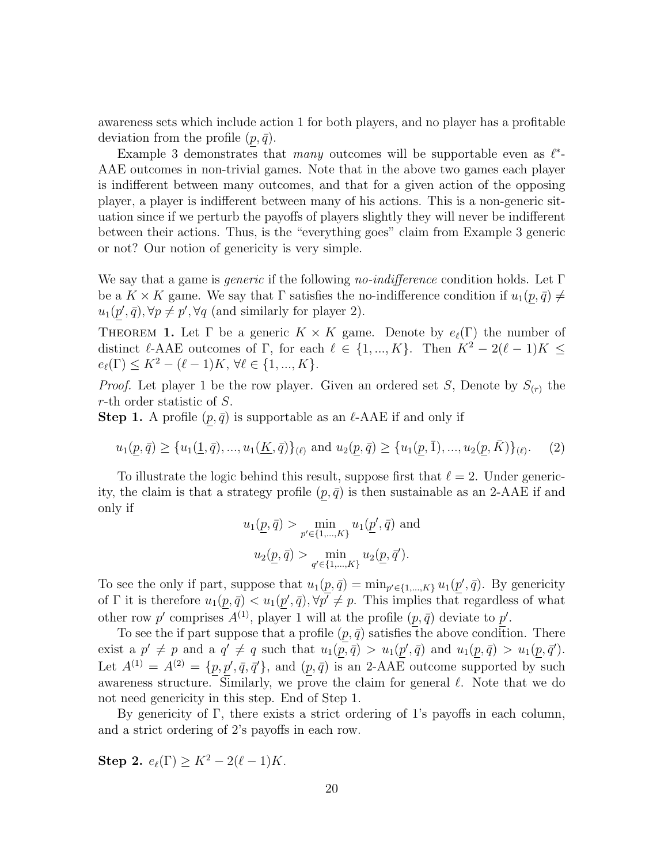awareness sets which include action 1 for both players, and no player has a profitable deviation from the profile  $(p, \bar{q})$ .

Example 3 demonstrates that many outcomes will be supportable even as  $\ell^*$ -AAE outcomes in non-trivial games. Note that in the above two games each player is indifferent between many outcomes, and that for a given action of the opposing player, a player is indifferent between many of his actions. This is a non-generic situation since if we perturb the payoffs of players slightly they will never be indifferent between their actions. Thus, is the "everything goes" claim from Example 3 generic or not? Our notion of genericity is very simple.

We say that a game is *generic* if the following no-indifference condition holds. Let  $\Gamma$ be a  $K \times K$  game. We say that  $\Gamma$  satisfies the no-indifference condition if  $u_1(p, \bar{q}) \neq$  $u_1(p', \bar{q}), \forall p \neq p', \forall q$  (and similarly for player 2).

THEOREM 1. Let  $\Gamma$  be a generic  $K \times K$  game. Denote by  $e_{\ell}(\Gamma)$  the number of distinct  $\ell$ -AAE outcomes of Γ, for each  $\ell \in \{1, ..., K\}$ . Then  $K^2 - 2(\ell - 1)K \leq$  $e_{\ell}(\Gamma) \leq K^2 - (\ell - 1)K, \forall \ell \in \{1, ..., K\}.$ 

*Proof.* Let player 1 be the row player. Given an ordered set S, Denote by  $S_{(r)}$  the r-th order statistic of S.

**Step 1.** A profile  $(p, \bar{q})$  is supportable as an  $\ell$ -AAE if and only if

$$
u_1(\underline{p}, \overline{q}) \ge \{u_1(\underline{1}, \overline{q}), \dots, u_1(\underline{K}, \overline{q})\}_{(\ell)} \text{ and } u_2(\underline{p}, \overline{q}) \ge \{u_1(\underline{p}, \overline{1}), \dots, u_2(\underline{p}, \overline{K})\}_{(\ell)}. \tag{2}
$$

To illustrate the logic behind this result, suppose first that  $\ell = 2$ . Under genericity, the claim is that a strategy profile  $(p, \bar{q})$  is then sustainable as an 2-AAE if and only if

$$
u_1(\underline{p}, \overline{q}) > \min_{p' \in \{1, \dots, K\}} u_1(\underline{p}', \overline{q}) \text{ and}
$$

$$
u_2(\underline{p}, \overline{q}) > \min_{q' \in \{1, \dots, K\}} u_2(\underline{p}, \overline{q}').
$$

To see the only if part, suppose that  $u_1(p, \bar{q}) = \min_{p' \in \{1, ..., K\}} u_1(p', \bar{q})$ . By genericity of  $\Gamma$  it is therefore  $u_1(p, \bar{q}) < u_1(p', \bar{q}), \forall p' \neq p$ . This implies that regardless of what other row p' comprises  $A^{(1)}$ , player 1 will at the profile  $(p, \bar{q})$  deviate to p'.

To see the if part suppose that a profile  $(p, \bar{q})$  satisfies the above condition. There exist a  $p' \neq p$  and a  $q' \neq q$  such that  $u_1(p, \bar{q}) > u_1(p', \bar{q})$  and  $u_1(p, \bar{q}) > u_1(p, \bar{q}')$ . Let  $A^{(1)} = A^{(2)} = \{p, p', \bar{q}, \bar{q}'\}$ , and  $(p, \bar{q})$  is an 2-AAE outcome supported by such awareness structure. Similarly, we prove the claim for general  $\ell$ . Note that we do not need genericity in this step. End of Step 1.

By genericity of Γ, there exists a strict ordering of 1's payoffs in each column, and a strict ordering of 2's payoffs in each row.

Step 2.  $e_{\ell}(\Gamma) \geq K^2 - 2(\ell - 1)K$ .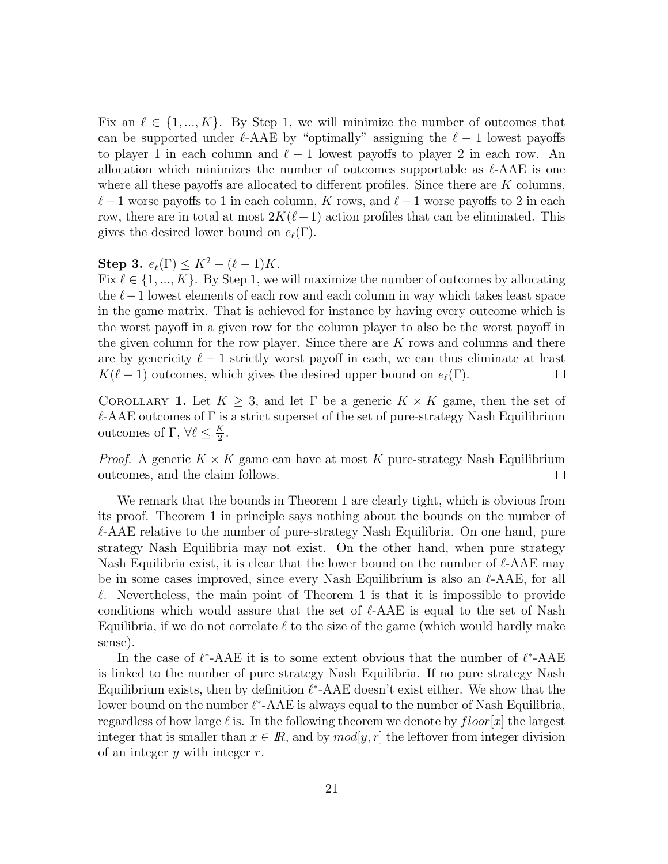Fix an  $\ell \in \{1, ..., K\}$ . By Step 1, we will minimize the number of outcomes that can be supported under  $\ell$ -AAE by "optimally" assigning the  $\ell - 1$  lowest payoffs to player 1 in each column and  $\ell - 1$  lowest payoffs to player 2 in each row. An allocation which minimizes the number of outcomes supportable as  $\ell$ -AAE is one where all these payoffs are allocated to different profiles. Since there are  $K$  columns,  $\ell - 1$  worse payoffs to 1 in each column, K rows, and  $\ell - 1$  worse payoffs to 2 in each row, there are in total at most  $2K(\ell-1)$  action profiles that can be eliminated. This gives the desired lower bound on  $e_{\ell}(\Gamma)$ .

### Step 3.  $e_{\ell}(\Gamma) \leq K^2 - (\ell - 1)K$ .

Fix  $\ell \in \{1, ..., K\}$ . By Step 1, we will maximize the number of outcomes by allocating the  $\ell-1$  lowest elements of each row and each column in way which takes least space in the game matrix. That is achieved for instance by having every outcome which is the worst payoff in a given row for the column player to also be the worst payoff in the given column for the row player. Since there are  $K$  rows and columns and there are by genericity  $\ell - 1$  strictly worst payoff in each, we can thus eliminate at least  $K(\ell - 1)$  outcomes, which gives the desired upper bound on  $e_{\ell}(\Gamma)$ .  $\Box$ 

COROLLARY 1. Let  $K \geq 3$ , and let  $\Gamma$  be a generic  $K \times K$  game, then the set of  $\ell$ -AAE outcomes of  $\Gamma$  is a strict superset of the set of pure-strategy Nash Equilibrium outcomes of Γ,  $\forall \ell \leq \frac{K}{2}$  $\frac{K}{2}$ .

*Proof.* A generic  $K \times K$  game can have at most K pure-strategy Nash Equilibrium outcomes, and the claim follows.  $\Box$ 

We remark that the bounds in Theorem 1 are clearly tight, which is obvious from its proof. Theorem 1 in principle says nothing about the bounds on the number of  $\ell$ -AAE relative to the number of pure-strategy Nash Equilibria. On one hand, pure strategy Nash Equilibria may not exist. On the other hand, when pure strategy Nash Equilibria exist, it is clear that the lower bound on the number of  $\ell$ -AAE may be in some cases improved, since every Nash Equilibrium is also an  $\ell$ -AAE, for all  $\ell$ . Nevertheless, the main point of Theorem 1 is that it is impossible to provide conditions which would assure that the set of  $\ell$ -AAE is equal to the set of Nash Equilibria, if we do not correlate  $\ell$  to the size of the game (which would hardly make sense).

In the case of  $\ell^*$ -AAE it is to some extent obvious that the number of  $\ell^*$ -AAE is linked to the number of pure strategy Nash Equilibria. If no pure strategy Nash Equilibrium exists, then by definition  $\ell^*$ -AAE doesn't exist either. We show that the lower bound on the number  $\ell^*$ -AAE is always equal to the number of Nash Equilibria, regardless of how large  $\ell$  is. In the following theorem we denote by  $floor[x]$  the largest integer that is smaller than  $x \in \mathbb{R}$ , and by  $mod[y, r]$  the leftover from integer division of an integer  $y$  with integer  $r$ .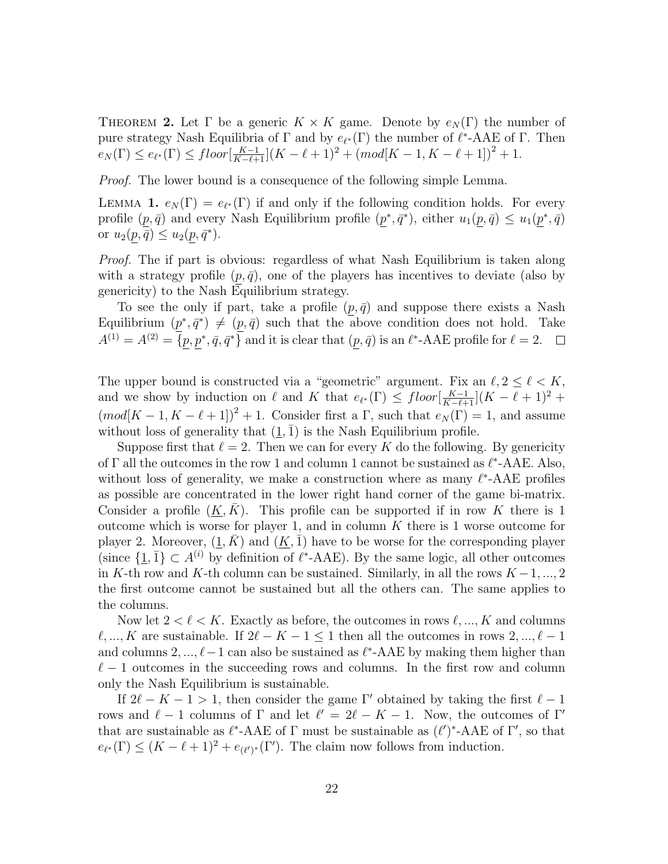THEOREM 2. Let  $\Gamma$  be a generic  $K \times K$  game. Denote by  $e_N(\Gamma)$  the number of pure strategy Nash Equilibria of  $\Gamma$  and by  $e_{\ell^*}(\Gamma)$  the number of  $\ell^*$ -AAE of  $\Gamma$ . Then  $e_N(\Gamma) \leq e_{\ell^*}(\Gamma) \leq floor\left[\frac{K-1}{K-\ell+1}\right](K-\ell+1)^2 + (mod[K-1, K-\ell+1])^2 + 1.$ 

Proof. The lower bound is a consequence of the following simple Lemma.

LEMMA 1.  $e_N(\Gamma) = e_{\ell^*}(\Gamma)$  if and only if the following condition holds. For every profile  $(p, \bar{q})$  and every Nash Equilibrium profile  $(p^*, \bar{q}^*)$ , either  $u_1(p, \bar{q}) \leq u_1(p^*, \bar{q})$ or  $u_2(p,\overline{q}) \leq u_2(p,\overline{q}^*).$ 

Proof. The if part is obvious: regardless of what Nash Equilibrium is taken along with a strategy profile  $(p, \bar{q})$ , one of the players has incentives to deviate (also by genericity) to the Nash Equilibrium strategy.

To see the only if part, take a profile  $(p, \bar{q})$  and suppose there exists a Nash Equilibrium  $(p^*, \bar{q}^*) \neq (p, \bar{q})$  such that the above condition does not hold. Take  $A^{(1)} = A^{(2)} = \{p, p^*, \bar{q}, \bar{q}^*\}\$ and it is clear that  $(p, \bar{q})$  is an  $\ell^*$ -AAE profile for  $\ell = 2$ .

The upper bound is constructed via a "geometric" argument. Fix an  $\ell, 2 \leq \ell < K$ , and we show by induction on  $\ell$  and K that  $e_{\ell^*}(\Gamma) \leq \text{floor}[\frac{K-1}{K-\ell+1}](K-\ell+1)^2$  +  $(mod[K-1, K-\ell+1])^{2}+1.$  Consider first a  $\Gamma$ , such that  $e_{N}(\Gamma)=1$ , and assume without loss of generality that  $(1, \bar{1})$  is the Nash Equilibrium profile.

Suppose first that  $\ell = 2$ . Then we can for every K do the following. By genericity of  $\Gamma$  all the outcomes in the row 1 and column 1 cannot be sustained as  $\ell^*$ -AAE. Also, without loss of generality, we make a construction where as many  $\ell^*$ -AAE profiles as possible are concentrated in the lower right hand corner of the game bi-matrix. Consider a profile  $(K, K)$ . This profile can be supported if in row K there is 1 outcome which is worse for player 1, and in column  $K$  there is 1 worse outcome for player 2. Moreover,  $(1, K)$  and  $(K, \bar{1})$  have to be worse for the corresponding player (since  $\{\underline{1}, \overline{1}\} \subset A^{(i)}$  by definition of  $\ell^*$ -AAE). By the same logic, all other outcomes in K-th row and K-th column can be sustained. Similarly, in all the rows  $K-1, ..., 2$ the first outcome cannot be sustained but all the others can. The same applies to the columns.

Now let  $2 < \ell < K$ . Exactly as before, the outcomes in rows  $\ell, ..., K$  and columns  $\ell, ..., K$  are sustainable. If  $2\ell - K - 1 \leq 1$  then all the outcomes in rows  $2, ..., \ell - 1$ and columns  $2, ..., \ell-1$  can also be sustained as  $\ell^*$ -AAE by making them higher than  $\ell - 1$  outcomes in the succeeding rows and columns. In the first row and column only the Nash Equilibrium is sustainable.

If  $2\ell - K - 1 > 1$ , then consider the game Γ' obtained by taking the first  $\ell - 1$ rows and  $\ell - 1$  columns of  $\Gamma$  and let  $\ell' = 2\ell - K - 1$ . Now, the outcomes of  $\Gamma'$ that are sustainable as  $\ell^*$ -AAE of  $\Gamma$  must be sustainable as  $(\ell')^*$ -AAE of  $\Gamma'$ , so that  $e_{\ell^*}(\Gamma) \leq (K - \ell + 1)^2 + e_{(\ell')^*}(\Gamma')$ . The claim now follows from induction.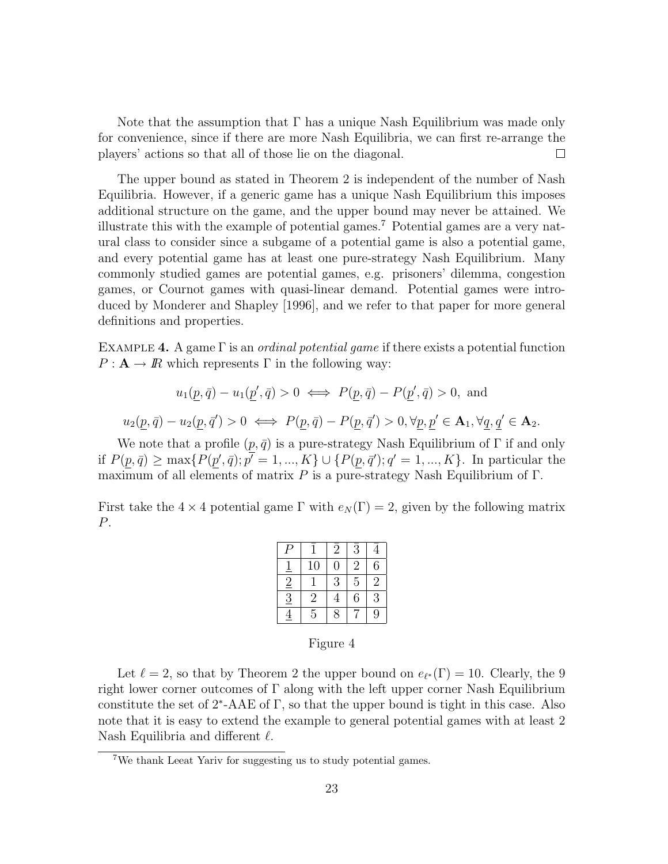Note that the assumption that  $\Gamma$  has a unique Nash Equilibrium was made only for convenience, since if there are more Nash Equilibria, we can first re-arrange the players' actions so that all of those lie on the diagonal.  $\Box$ 

The upper bound as stated in Theorem 2 is independent of the number of Nash Equilibria. However, if a generic game has a unique Nash Equilibrium this imposes additional structure on the game, and the upper bound may never be attained. We illustrate this with the example of potential games.<sup>7</sup> Potential games are a very natural class to consider since a subgame of a potential game is also a potential game, and every potential game has at least one pure-strategy Nash Equilibrium. Many commonly studied games are potential games, e.g. prisoners' dilemma, congestion games, or Cournot games with quasi-linear demand. Potential games were introduced by Monderer and Shapley [1996], and we refer to that paper for more general definitions and properties.

EXAMPLE 4. A game  $\Gamma$  is an *ordinal potential game* if there exists a potential function  $P: \mathbf{A} \to \mathbb{R}$  which represents  $\Gamma$  in the following way:

$$
u_1(\underline{p}, \overline{q}) - u_1(\underline{p}', \overline{q}) > 0 \iff P(\underline{p}, \overline{q}) - P(\underline{p}', \overline{q}) > 0, \text{ and}
$$
  

$$
u_2(p, \overline{q}) - u_2(p, \overline{q}') > 0 \iff P(p, \overline{q}) - P(p, \overline{q}') > 0, \forall p, p' \in \mathbf{A}_1, \forall q, q' \in \mathbf{A}_2.
$$

We note that a profile  $(p, \bar{q})$  is a pure-strategy Nash Equilibrium of Γ if and only if  $P(p, \bar{q}) \ge \max\{P(p', \bar{q}); p' = 1, ..., K\} \cup \{P(p, \bar{q}'); q' = 1, ..., K\}$ . In particular the maximum of all elements of matrix  $P$  is a pure-strategy Nash Equilibrium of  $\Gamma$ .

First take the  $4 \times 4$  potential game  $\Gamma$  with  $e_N(\Gamma) = 2$ , given by the following matrix P.

|                |                | $\overline{2}$ | 3              |                |
|----------------|----------------|----------------|----------------|----------------|
|                | 10             | 0              | $\overline{2}$ | 6              |
| $\overline{2}$ |                | 3              | 5              | $\overline{2}$ |
| $\overline{3}$ | $\overline{2}$ | 4              | 6              | 3              |
|                | 5              | 8              |                | 9              |

Figure 4

Let  $\ell = 2$ , so that by Theorem 2 the upper bound on  $e_{\ell^*}(\Gamma) = 10$ . Clearly, the 9 right lower corner outcomes of  $\Gamma$  along with the left upper corner Nash Equilibrium constitute the set of  $2^*$ -AAE of  $\Gamma$ , so that the upper bound is tight in this case. Also note that it is easy to extend the example to general potential games with at least 2 Nash Equilibria and different  $\ell$ .

<sup>7</sup>We thank Leeat Yariv for suggesting us to study potential games.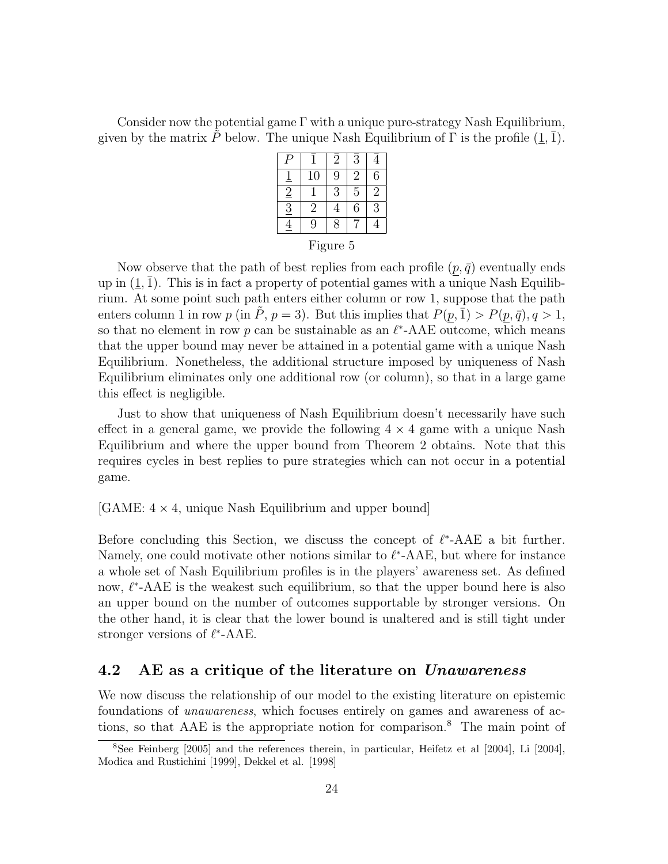Consider now the potential game  $\Gamma$  with a unique pure-strategy Nash Equilibrium, given by the matrix P below. The unique Nash Equilibrium of  $\Gamma$  is the profile  $(1, \overline{1})$ .

|                            |                | $\overline{2}$ | $\bar{3}$      |            |
|----------------------------|----------------|----------------|----------------|------------|
|                            | 10             | 9              | $\overline{2}$ | 6          |
| $\overline{2}$             |                | 3              | 5              | $\sqrt{2}$ |
| $\overline{\underline{3}}$ | $\overline{2}$ |                | 6              | 3          |
|                            | 9              | g              |                |            |

Now observe that the path of best replies from each profile  $(p, \bar{q})$  eventually ends up in  $(1, 1)$ . This is in fact a property of potential games with a unique Nash Equilibrium. At some point such path enters either column or row 1, suppose that the path enters column 1 in row p (in  $\tilde{P}$ ,  $p = 3$ ). But this implies that  $P(p, \bar{1}) > P(p, \bar{q})$ ,  $q > 1$ , so that no element in row p can be sustainable as an  $\ell^*$ -AAE outcome, which means that the upper bound may never be attained in a potential game with a unique Nash Equilibrium. Nonetheless, the additional structure imposed by uniqueness of Nash Equilibrium eliminates only one additional row (or column), so that in a large game this effect is negligible.

Just to show that uniqueness of Nash Equilibrium doesn't necessarily have such effect in a general game, we provide the following  $4 \times 4$  game with a unique Nash Equilibrium and where the upper bound from Theorem 2 obtains. Note that this requires cycles in best replies to pure strategies which can not occur in a potential game.

 $[GAME: 4 \times 4, unique Nash Equilibrium and upper bound]$ 

Before concluding this Section, we discuss the concept of  $\ell^*$ -AAE a bit further. Namely, one could motivate other notions similar to  $\ell^*$ -AAE, but where for instance a whole set of Nash Equilibrium profiles is in the players' awareness set. As defined now,  $\ell^*$ -AAE is the weakest such equilibrium, so that the upper bound here is also an upper bound on the number of outcomes supportable by stronger versions. On the other hand, it is clear that the lower bound is unaltered and is still tight under stronger versions of  $\ell^*$ -AAE.

### 4.2 AE as a critique of the literature on *Unawareness*

We now discuss the relationship of our model to the existing literature on epistemic foundations of unawareness, which focuses entirely on games and awareness of actions, so that AAE is the appropriate notion for comparison.<sup>8</sup> The main point of

<sup>8</sup>See Feinberg [2005] and the references therein, in particular, Heifetz et al [2004], Li [2004], Modica and Rustichini [1999], Dekkel et al. [1998]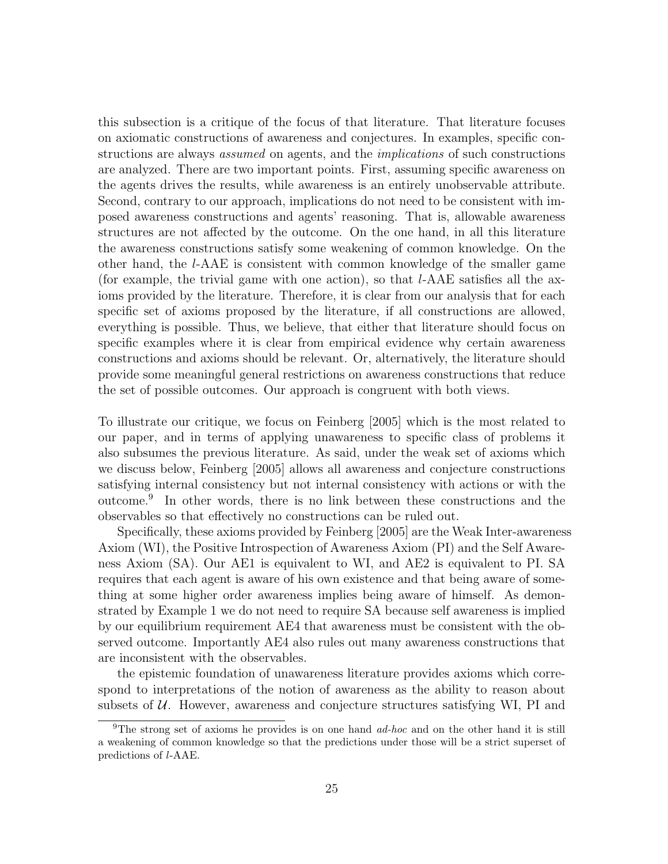this subsection is a critique of the focus of that literature. That literature focuses on axiomatic constructions of awareness and conjectures. In examples, specific constructions are always *assumed* on agents, and the *implications* of such constructions are analyzed. There are two important points. First, assuming specific awareness on the agents drives the results, while awareness is an entirely unobservable attribute. Second, contrary to our approach, implications do not need to be consistent with imposed awareness constructions and agents' reasoning. That is, allowable awareness structures are not affected by the outcome. On the one hand, in all this literature the awareness constructions satisfy some weakening of common knowledge. On the other hand, the l-AAE is consistent with common knowledge of the smaller game (for example, the trivial game with one action), so that l-AAE satisfies all the axioms provided by the literature. Therefore, it is clear from our analysis that for each specific set of axioms proposed by the literature, if all constructions are allowed, everything is possible. Thus, we believe, that either that literature should focus on specific examples where it is clear from empirical evidence why certain awareness constructions and axioms should be relevant. Or, alternatively, the literature should provide some meaningful general restrictions on awareness constructions that reduce the set of possible outcomes. Our approach is congruent with both views.

To illustrate our critique, we focus on Feinberg [2005] which is the most related to our paper, and in terms of applying unawareness to specific class of problems it also subsumes the previous literature. As said, under the weak set of axioms which we discuss below, Feinberg [2005] allows all awareness and conjecture constructions satisfying internal consistency but not internal consistency with actions or with the outcome.<sup>9</sup> In other words, there is no link between these constructions and the observables so that effectively no constructions can be ruled out.

Specifically, these axioms provided by Feinberg [2005] are the Weak Inter-awareness Axiom (WI), the Positive Introspection of Awareness Axiom (PI) and the Self Awareness Axiom (SA). Our AE1 is equivalent to WI, and AE2 is equivalent to PI. SA requires that each agent is aware of his own existence and that being aware of something at some higher order awareness implies being aware of himself. As demonstrated by Example 1 we do not need to require SA because self awareness is implied by our equilibrium requirement AE4 that awareness must be consistent with the observed outcome. Importantly AE4 also rules out many awareness constructions that are inconsistent with the observables.

the epistemic foundation of unawareness literature provides axioms which correspond to interpretations of the notion of awareness as the ability to reason about subsets of  $U$ . However, awareness and conjecture structures satisfying WI, PI and

<sup>&</sup>lt;sup>9</sup>The strong set of axioms he provides is on one hand  $ad-hoc$  and on the other hand it is still a weakening of common knowledge so that the predictions under those will be a strict superset of predictions of l-AAE.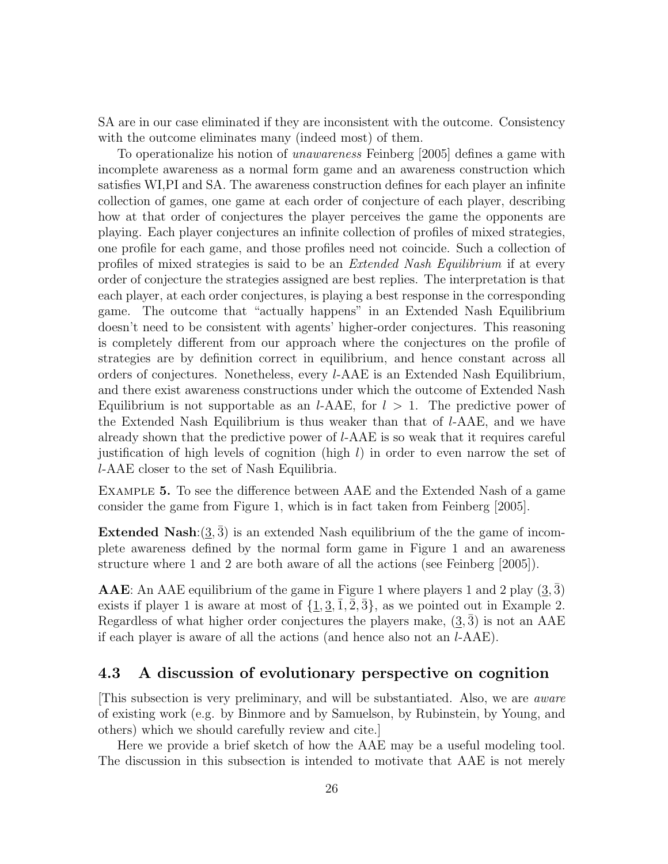SA are in our case eliminated if they are inconsistent with the outcome. Consistency with the outcome eliminates many (indeed most) of them.

To operationalize his notion of unawareness Feinberg [2005] defines a game with incomplete awareness as a normal form game and an awareness construction which satisfies WI,PI and SA. The awareness construction defines for each player an infinite collection of games, one game at each order of conjecture of each player, describing how at that order of conjectures the player perceives the game the opponents are playing. Each player conjectures an infinite collection of profiles of mixed strategies, one profile for each game, and those profiles need not coincide. Such a collection of profiles of mixed strategies is said to be an Extended Nash Equilibrium if at every order of conjecture the strategies assigned are best replies. The interpretation is that each player, at each order conjectures, is playing a best response in the corresponding game. The outcome that "actually happens" in an Extended Nash Equilibrium doesn't need to be consistent with agents' higher-order conjectures. This reasoning is completely different from our approach where the conjectures on the profile of strategies are by definition correct in equilibrium, and hence constant across all orders of conjectures. Nonetheless, every l-AAE is an Extended Nash Equilibrium, and there exist awareness constructions under which the outcome of Extended Nash Equilibrium is not supportable as an *l*-AAE, for  $l > 1$ . The predictive power of the Extended Nash Equilibrium is thus weaker than that of l-AAE, and we have already shown that the predictive power of l-AAE is so weak that it requires careful justification of high levels of cognition (high  $l$ ) in order to even narrow the set of l-AAE closer to the set of Nash Equilibria.

Example 5. To see the difference between AAE and the Extended Nash of a game consider the game from Figure 1, which is in fact taken from Feinberg [2005].

**Extended Nash:** $(3, \bar{3})$  is an extended Nash equilibrium of the the game of incomplete awareness defined by the normal form game in Figure 1 and an awareness structure where 1 and 2 are both aware of all the actions (see Feinberg [2005]).

**AAE**: An AAE equilibrium of the game in Figure 1 where players 1 and 2 play  $(3,3)$ exists if player 1 is aware at most of  $\{\underline{1}, \underline{3}, \overline{1}, \overline{2}, \overline{3}\}$ , as we pointed out in Example 2. Regardless of what higher order conjectures the players make,  $(3, 3)$  is not an AAE if each player is aware of all the actions (and hence also not an l-AAE).

### 4.3 A discussion of evolutionary perspective on cognition

[This subsection is very preliminary, and will be substantiated. Also, we are aware of existing work (e.g. by Binmore and by Samuelson, by Rubinstein, by Young, and others) which we should carefully review and cite.]

Here we provide a brief sketch of how the AAE may be a useful modeling tool. The discussion in this subsection is intended to motivate that AAE is not merely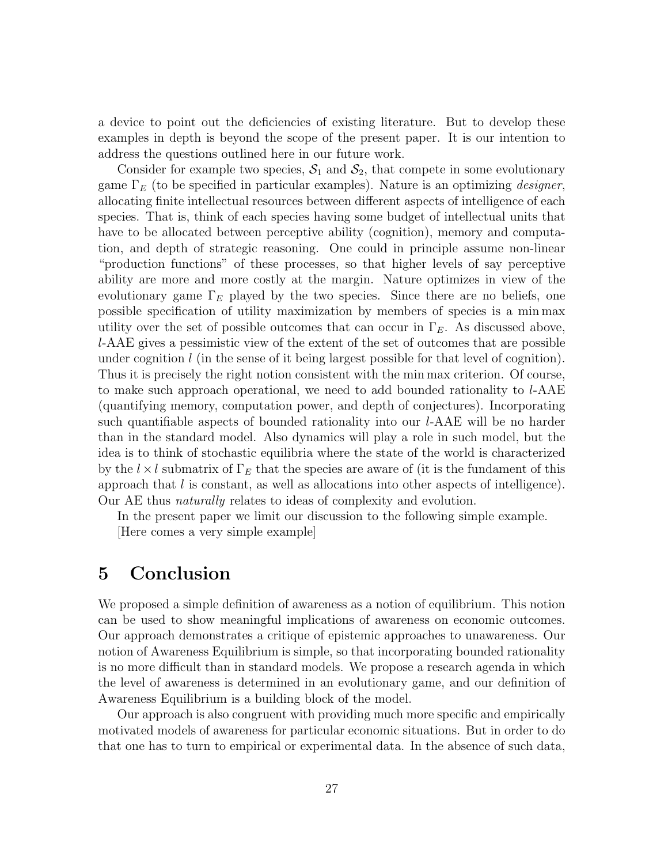a device to point out the deficiencies of existing literature. But to develop these examples in depth is beyond the scope of the present paper. It is our intention to address the questions outlined here in our future work.

Consider for example two species,  $S_1$  and  $S_2$ , that compete in some evolutionary game  $\Gamma_E$  (to be specified in particular examples). Nature is an optimizing *designer*, allocating finite intellectual resources between different aspects of intelligence of each species. That is, think of each species having some budget of intellectual units that have to be allocated between perceptive ability (cognition), memory and computation, and depth of strategic reasoning. One could in principle assume non-linear "production functions" of these processes, so that higher levels of say perceptive ability are more and more costly at the margin. Nature optimizes in view of the evolutionary game  $\Gamma_E$  played by the two species. Since there are no beliefs, one possible specification of utility maximization by members of species is a min max utility over the set of possible outcomes that can occur in  $\Gamma_E$ . As discussed above, l-AAE gives a pessimistic view of the extent of the set of outcomes that are possible under cognition  $l$  (in the sense of it being largest possible for that level of cognition). Thus it is precisely the right notion consistent with the min max criterion. Of course, to make such approach operational, we need to add bounded rationality to l-AAE (quantifying memory, computation power, and depth of conjectures). Incorporating such quantifiable aspects of bounded rationality into our l-AAE will be no harder than in the standard model. Also dynamics will play a role in such model, but the idea is to think of stochastic equilibria where the state of the world is characterized by the  $l \times l$  submatrix of  $\Gamma_E$  that the species are aware of (it is the fundament of this approach that l is constant, as well as allocations into other aspects of intelligence). Our AE thus *naturally* relates to ideas of complexity and evolution.

In the present paper we limit our discussion to the following simple example. [Here comes a very simple example]

## 5 Conclusion

We proposed a simple definition of awareness as a notion of equilibrium. This notion can be used to show meaningful implications of awareness on economic outcomes. Our approach demonstrates a critique of epistemic approaches to unawareness. Our notion of Awareness Equilibrium is simple, so that incorporating bounded rationality is no more difficult than in standard models. We propose a research agenda in which the level of awareness is determined in an evolutionary game, and our definition of Awareness Equilibrium is a building block of the model.

Our approach is also congruent with providing much more specific and empirically motivated models of awareness for particular economic situations. But in order to do that one has to turn to empirical or experimental data. In the absence of such data,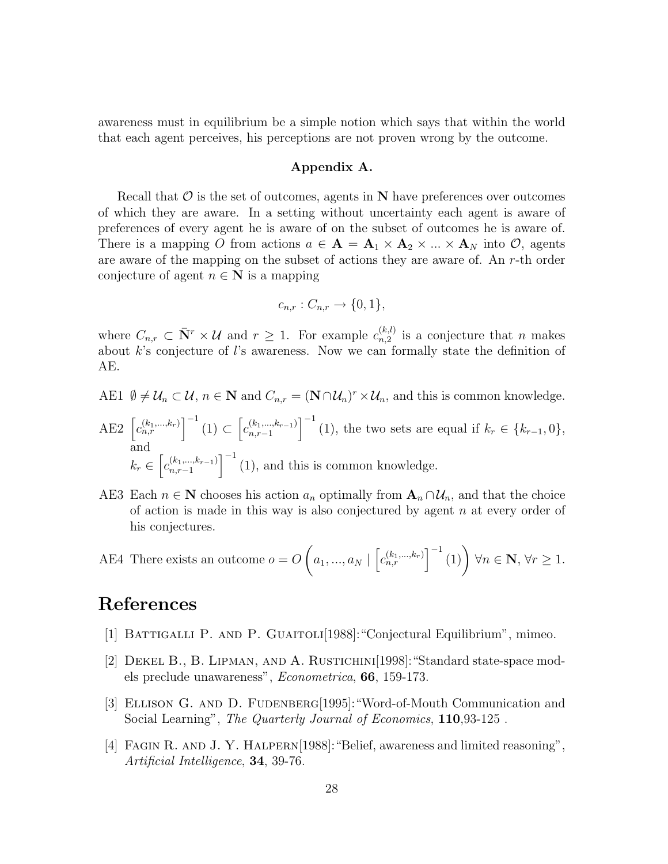awareness must in equilibrium be a simple notion which says that within the world that each agent perceives, his perceptions are not proven wrong by the outcome.

#### Appendix A.

Recall that  $\mathcal O$  is the set of outcomes, agents in  $N$  have preferences over outcomes of which they are aware. In a setting without uncertainty each agent is aware of preferences of every agent he is aware of on the subset of outcomes he is aware of. There is a mapping O from actions  $a \in \mathbf{A} = \mathbf{A}_1 \times \mathbf{A}_2 \times ... \times \mathbf{A}_N$  into  $\mathcal{O}$ , agents are aware of the mapping on the subset of actions they are aware of. An r-th order conjecture of agent  $n \in \mathbb{N}$  is a mapping

$$
c_{n,r}: C_{n,r} \to \{0,1\},\
$$

where  $C_{n,r} \subset \bar{\mathbf{N}}^r \times \mathcal{U}$  and  $r \geq 1$ . For example  $c_{n,2}^{(k,l)}$  $\binom{k,\ell}{n,2}$  is a conjecture that *n* makes about  $k$ 's conjecture of  $l$ 's awareness. Now we can formally state the definition of AE.

- AE1  $\emptyset \neq \mathcal{U}_n \subset \mathcal{U}, n \in \mathbb{N}$  and  $C_{n,r} = (\mathbb{N} \cap \mathcal{U}_n)^r \times \mathcal{U}_n$ , and this is common knowledge.
- AE2  $\left[c_{n,r}^{(k_1,...,k_r)}\right]^{-1}(1) \subset \left[c_{n,r-1}^{(k_1,...,k_{r-1})}\right]$  $\binom{(k_1,\ldots,k_{r-1})}{n,r-1}$  (1), the two sets are equal if  $k_r \in \{k_{r-1},0\}$ , and  $k_r \in \left[ c_{n,r-1}^{(k_1,...,k_{r-1})} \right]$  $\binom{(k_1,\ldots,k_{r-1})}{n,r-1}$  (1), and this is common knowledge.
- AE3 Each  $n \in \mathbb{N}$  chooses his action  $a_n$  optimally from  $\mathbf{A}_n \cap \mathcal{U}_n$ , and that the choice of action is made in this way is also conjectured by agent  $n$  at every order of his conjectures.

AE4 There exists an outcome 
$$
o = O\left(a_1, ..., a_N \mid \left[c_{n,r}^{(k_1,...,k_r)}\right]^{-1}(1)\right) \forall n \in \mathbb{N}, \forall r \ge 1.
$$

## References

- [1] Battigalli P. and P. Guaitoli[1988]:"Conjectural Equilibrium", mimeo.
- [2] Dekel B., B. Lipman, and A. Rustichini[1998]:"Standard state-space models preclude unawareness", Econometrica, 66, 159-173.
- [3] Ellison G. and D. Fudenberg[1995]:"Word-of-Mouth Communication and Social Learning", The Quarterly Journal of Economics, 110,93-125.
- [4] FAGIN R. AND J. Y. HALPERN[1988]: "Belief, awareness and limited reasoning", Artificial Intelligence, 34, 39-76.